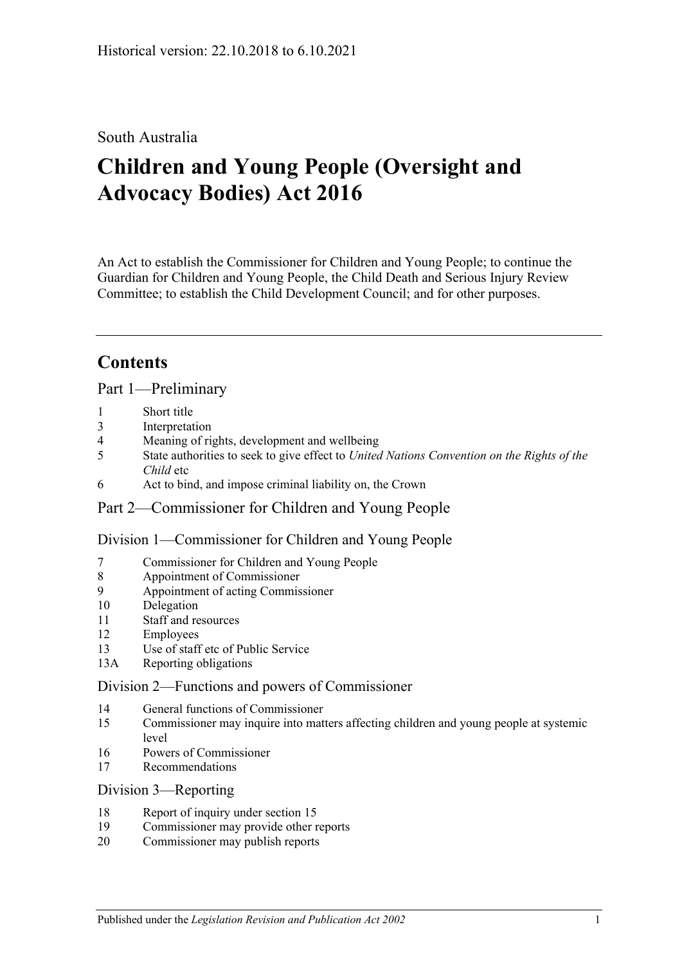### South Australia

# **Children and Young People (Oversight and Advocacy Bodies) Act 2016**

An Act to establish the Commissioner for Children and Young People; to continue the Guardian for Children and Young People, the Child Death and Serious Injury Review Committee; to establish the Child Development Council; and for other purposes.

## **Contents**

Part [1—Preliminary](#page-2-0)

- 1 [Short title](#page-2-1)
- 3 [Interpretation](#page-2-2)
- 4 [Meaning of rights, development and wellbeing](#page-3-0)
- 5 State authorities to seek to give effect to *[United Nations Convention on the Rights of the](#page-4-0)  [Child](#page-4-0)* etc
- 6 [Act to bind, and impose criminal liability on, the Crown](#page-4-1)

#### Part [2—Commissioner for Children and Young People](#page-4-2)

Division [1—Commissioner for Children and Young People](#page-4-3)

- 7 [Commissioner for Children and Young People](#page-4-4)
- 8 [Appointment of Commissioner](#page-4-5)
- 9 [Appointment of acting Commissioner](#page-6-0)
- 10 [Delegation](#page-6-1)
- 11 [Staff and resources](#page-6-2)
- 12 [Employees](#page-6-3)
- 13 [Use of staff etc of Public Service](#page-6-4)
- 13A [Reporting obligations](#page-7-0)

#### Division [2—Functions and powers of Commissioner](#page-7-1)

- 14 [General functions of Commissioner](#page-7-2)
- 15 [Commissioner may inquire into matters affecting children and young people at systemic](#page-7-3)  [level](#page-7-3)
- 16 [Powers of Commissioner](#page-8-0)
- 17 [Recommendations](#page-9-0)

#### Division [3—Reporting](#page-10-0)

- 18 [Report of inquiry under section](#page-10-1) 15
- 19 [Commissioner may provide other reports](#page-10-2)
- 20 [Commissioner may publish reports](#page-10-3)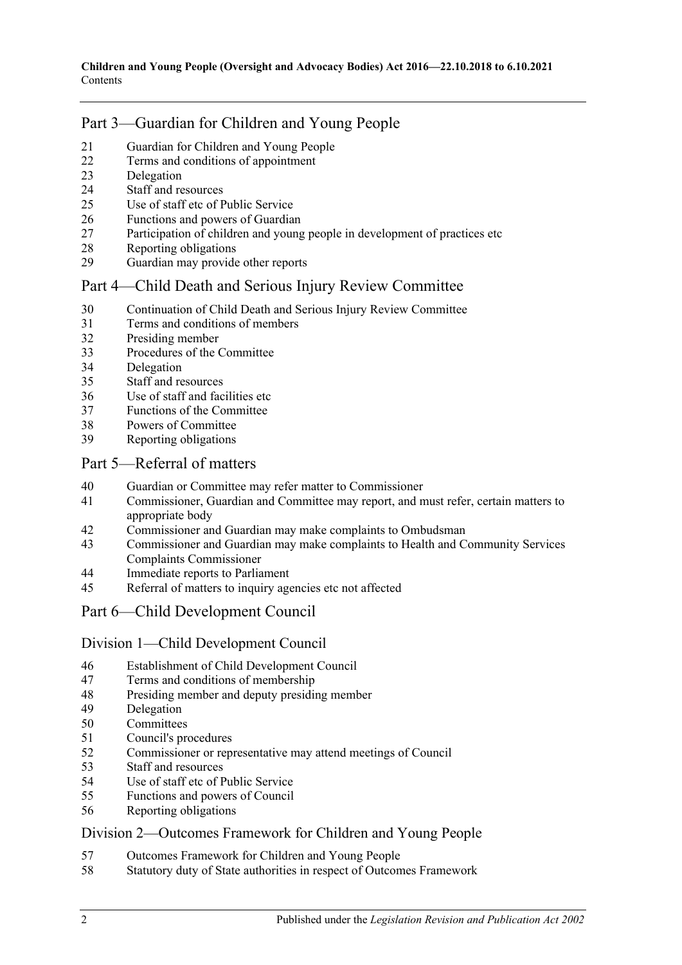## Part [3—Guardian for Children and Young People](#page-10-4)

- [Guardian for Children and Young People](#page-10-5)
- [Terms and conditions of appointment](#page-11-0)
- [Delegation](#page-12-0)
- [Staff and resources](#page-12-1)
- [Use of staff etc of Public Service](#page-12-2)
- [Functions and powers of Guardian](#page-12-3)
- [Participation of children and young people in development of practices etc](#page-13-0)
- [Reporting obligations](#page-13-1)
- [Guardian may provide other reports](#page-13-2)

## Part [4—Child Death and Serious Injury Review Committee](#page-14-0)

- [Continuation of Child Death and Serious Injury Review Committee](#page-14-1)
- [Terms and conditions of members](#page-14-2)
- [Presiding member](#page-15-0)
- [Procedures of the Committee](#page-15-1)
- [Delegation](#page-15-2)
- [Staff and resources](#page-15-3)
- [Use of staff and facilities etc](#page-16-0)
- [Functions of the Committee](#page-16-1)
- [Powers of Committee](#page-17-0)
- [Reporting obligations](#page-17-1)

#### Part [5—Referral of matters](#page-18-0)

- [Guardian or Committee may refer matter to Commissioner](#page-18-1)
- [Commissioner, Guardian and Committee may report, and must refer, certain matters to](#page-18-2)  [appropriate body](#page-18-2)
- [Commissioner and Guardian may make complaints to Ombudsman](#page-18-3)
- [Commissioner and Guardian may make complaints to Health and Community Services](#page-19-0)  [Complaints Commissioner](#page-19-0)
- [Immediate reports to Parliament](#page-19-1)
- [Referral of matters to inquiry agencies etc not affected](#page-20-0)

## Part [6—Child Development Council](#page-20-1)

#### Division [1—Child Development Council](#page-20-2)

- [Establishment of Child Development Council](#page-20-3)
- [Terms and conditions of membership](#page-20-4)
- [Presiding member and deputy presiding member](#page-21-0)
- [Delegation](#page-21-1)
- [Committees](#page-22-0)
- [Council's procedures](#page-22-1)
- [Commissioner or representative may attend meetings of Council](#page-23-0)
- [Staff and resources](#page-23-1)
- [Use of staff etc of Public Service](#page-23-2)
- [Functions and powers of Council](#page-23-3)
- [Reporting obligations](#page-24-0)

#### Division [2—Outcomes Framework for Children and Young People](#page-24-1)

- [Outcomes Framework for Children and Young People](#page-24-2)
- [Statutory duty of State authorities in respect of Outcomes Framework](#page-25-0)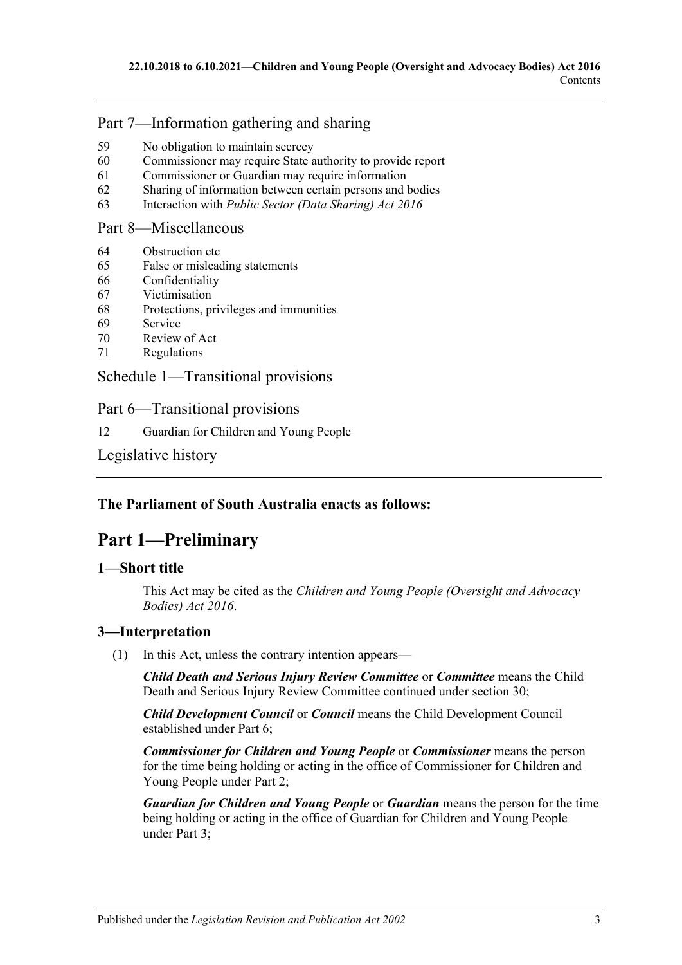## Part [7—Information gathering and sharing](#page-25-1)

- 59 [No obligation to maintain secrecy](#page-25-2)
- 60 [Commissioner may require State authority to provide report](#page-25-3)
- 61 [Commissioner or Guardian may require information](#page-26-0)
- 62 [Sharing of information between certain persons and bodies](#page-26-1)
- 63 Interaction with *[Public Sector \(Data Sharing\) Act](#page-27-0) 2016*

#### Part [8—Miscellaneous](#page-27-1)

- 64 [Obstruction etc](#page-27-2)
- 65 [False or misleading statements](#page-28-0)
- 66 [Confidentiality](#page-28-1)
- 67 [Victimisation](#page-28-2)
- 68 [Protections, privileges and immunities](#page-29-0)
- 69 [Service](#page-30-0)
- 70 [Review of Act](#page-30-1)
- 71 [Regulations](#page-31-0)

Schedule [1—Transitional provisions](#page-31-1)

Part 6—Transitional provisions

12 [Guardian for Children and Young People](#page-31-2)

[Legislative history](#page-32-0)

## <span id="page-2-0"></span>**The Parliament of South Australia enacts as follows:**

## **Part 1—Preliminary**

#### <span id="page-2-1"></span>**1—Short title**

This Act may be cited as the *Children and Young People (Oversight and Advocacy Bodies) Act 2016*.

## <span id="page-2-2"></span>**3—Interpretation**

(1) In this Act, unless the contrary intention appears—

*Child Death and Serious Injury Review Committee* or *Committee* means the Child Death and Serious Injury Review Committee continued under [section](#page-14-1) 30;

*Child Development Council* or *Council* means the Child Development Council established under [Part](#page-20-1) 6;

*Commissioner for Children and Young People* or *Commissioner* means the person for the time being holding or acting in the office of Commissioner for Children and Young People under [Part](#page-4-2) 2;

*Guardian for Children and Young People* or *Guardian* means the person for the time being holding or acting in the office of Guardian for Children and Young People under [Part](#page-10-4) 3;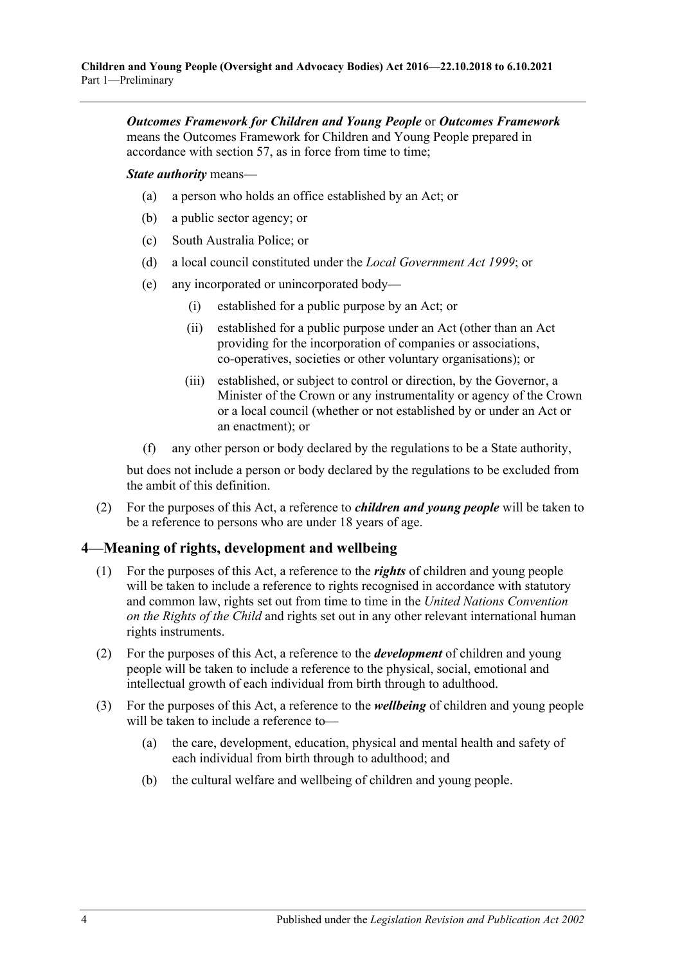*Outcomes Framework for Children and Young People* or *Outcomes Framework* means the Outcomes Framework for Children and Young People prepared in accordance with [section](#page-24-2) 57, as in force from time to time;

*State authority* means—

- (a) a person who holds an office established by an Act; or
- (b) a public sector agency; or
- (c) South Australia Police; or
- (d) a local council constituted under the *[Local Government Act](http://www.legislation.sa.gov.au/index.aspx?action=legref&type=act&legtitle=Local%20Government%20Act%201999) 1999*; or
- (e) any incorporated or unincorporated body—
	- (i) established for a public purpose by an Act; or
	- (ii) established for a public purpose under an Act (other than an Act providing for the incorporation of companies or associations, co-operatives, societies or other voluntary organisations); or
	- (iii) established, or subject to control or direction, by the Governor, a Minister of the Crown or any instrumentality or agency of the Crown or a local council (whether or not established by or under an Act or an enactment); or
- (f) any other person or body declared by the regulations to be a State authority,

but does not include a person or body declared by the regulations to be excluded from the ambit of this definition.

(2) For the purposes of this Act, a reference to *children and young people* will be taken to be a reference to persons who are under 18 years of age.

#### <span id="page-3-0"></span>**4—Meaning of rights, development and wellbeing**

- (1) For the purposes of this Act, a reference to the *rights* of children and young people will be taken to include a reference to rights recognised in accordance with statutory and common law, rights set out from time to time in the *United Nations Convention on the Rights of the Child* and rights set out in any other relevant international human rights instruments.
- (2) For the purposes of this Act, a reference to the *development* of children and young people will be taken to include a reference to the physical, social, emotional and intellectual growth of each individual from birth through to adulthood.
- (3) For the purposes of this Act, a reference to the *wellbeing* of children and young people will be taken to include a reference to—
	- (a) the care, development, education, physical and mental health and safety of each individual from birth through to adulthood; and
	- (b) the cultural welfare and wellbeing of children and young people.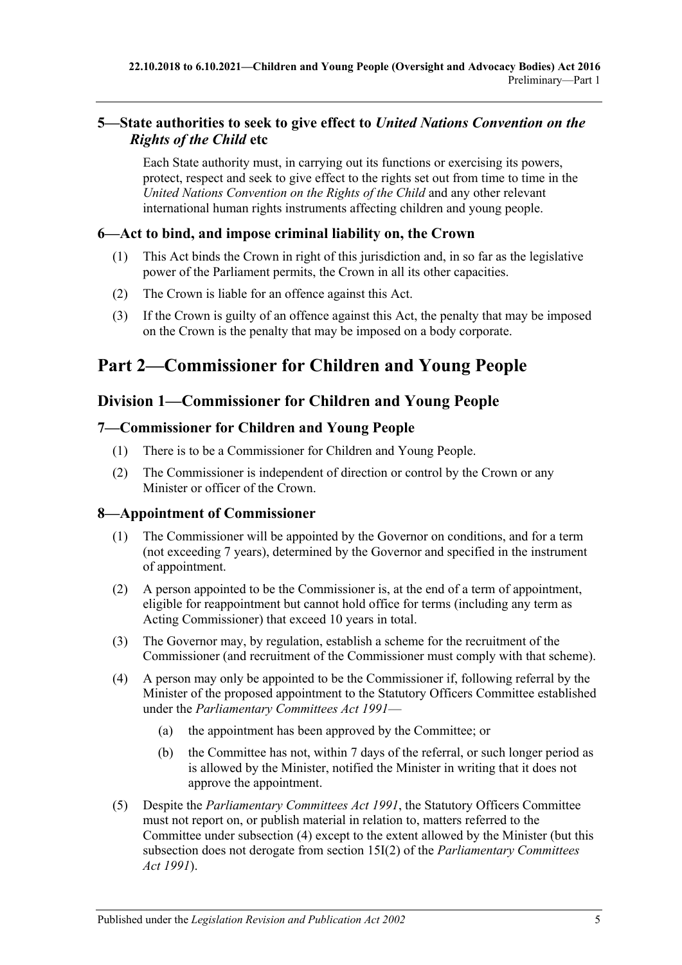## <span id="page-4-0"></span>**5—State authorities to seek to give effect to** *United Nations Convention on the Rights of the Child* **etc**

Each State authority must, in carrying out its functions or exercising its powers, protect, respect and seek to give effect to the rights set out from time to time in the *United Nations Convention on the Rights of the Child* and any other relevant international human rights instruments affecting children and young people.

### <span id="page-4-1"></span>**6—Act to bind, and impose criminal liability on, the Crown**

- (1) This Act binds the Crown in right of this jurisdiction and, in so far as the legislative power of the Parliament permits, the Crown in all its other capacities.
- (2) The Crown is liable for an offence against this Act.
- (3) If the Crown is guilty of an offence against this Act, the penalty that may be imposed on the Crown is the penalty that may be imposed on a body corporate.

# <span id="page-4-2"></span>**Part 2—Commissioner for Children and Young People**

## <span id="page-4-3"></span>**Division 1—Commissioner for Children and Young People**

### <span id="page-4-4"></span>**7—Commissioner for Children and Young People**

- (1) There is to be a Commissioner for Children and Young People.
- (2) The Commissioner is independent of direction or control by the Crown or any Minister or officer of the Crown.

#### <span id="page-4-5"></span>**8—Appointment of Commissioner**

- (1) The Commissioner will be appointed by the Governor on conditions, and for a term (not exceeding 7 years), determined by the Governor and specified in the instrument of appointment.
- (2) A person appointed to be the Commissioner is, at the end of a term of appointment, eligible for reappointment but cannot hold office for terms (including any term as Acting Commissioner) that exceed 10 years in total.
- (3) The Governor may, by regulation, establish a scheme for the recruitment of the Commissioner (and recruitment of the Commissioner must comply with that scheme).
- <span id="page-4-6"></span>(4) A person may only be appointed to be the Commissioner if, following referral by the Minister of the proposed appointment to the Statutory Officers Committee established under the *[Parliamentary Committees Act](http://www.legislation.sa.gov.au/index.aspx?action=legref&type=act&legtitle=Parliamentary%20Committees%20Act%201991) 1991*—
	- (a) the appointment has been approved by the Committee; or
	- (b) the Committee has not, within 7 days of the referral, or such longer period as is allowed by the Minister, notified the Minister in writing that it does not approve the appointment.
- (5) Despite the *[Parliamentary Committees Act](http://www.legislation.sa.gov.au/index.aspx?action=legref&type=act&legtitle=Parliamentary%20Committees%20Act%201991) 1991*, the Statutory Officers Committee must not report on, or publish material in relation to, matters referred to the Committee under [subsection](#page-4-6) (4) except to the extent allowed by the Minister (but this subsection does not derogate from section 15I(2) of the *[Parliamentary Committees](http://www.legislation.sa.gov.au/index.aspx?action=legref&type=act&legtitle=Parliamentary%20Committees%20Act%201991)  Act [1991](http://www.legislation.sa.gov.au/index.aspx?action=legref&type=act&legtitle=Parliamentary%20Committees%20Act%201991)*).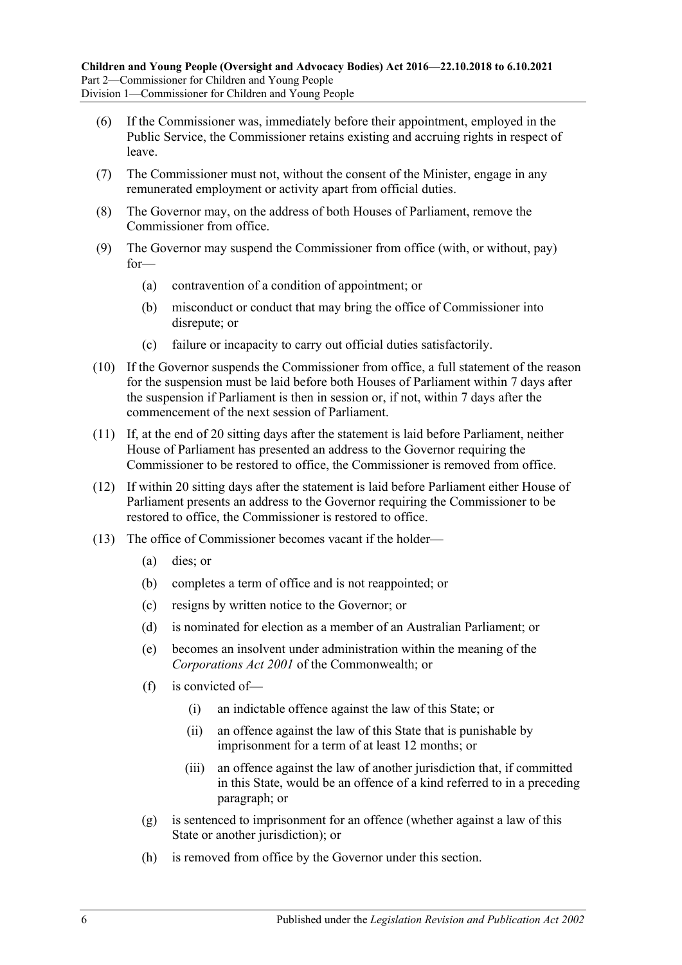- (6) If the Commissioner was, immediately before their appointment, employed in the Public Service, the Commissioner retains existing and accruing rights in respect of leave.
- (7) The Commissioner must not, without the consent of the Minister, engage in any remunerated employment or activity apart from official duties.
- (8) The Governor may, on the address of both Houses of Parliament, remove the Commissioner from office.
- (9) The Governor may suspend the Commissioner from office (with, or without, pay) for—
	- (a) contravention of a condition of appointment; or
	- (b) misconduct or conduct that may bring the office of Commissioner into disrepute; or
	- (c) failure or incapacity to carry out official duties satisfactorily.
- (10) If the Governor suspends the Commissioner from office, a full statement of the reason for the suspension must be laid before both Houses of Parliament within 7 days after the suspension if Parliament is then in session or, if not, within 7 days after the commencement of the next session of Parliament.
- (11) If, at the end of 20 sitting days after the statement is laid before Parliament, neither House of Parliament has presented an address to the Governor requiring the Commissioner to be restored to office, the Commissioner is removed from office.
- (12) If within 20 sitting days after the statement is laid before Parliament either House of Parliament presents an address to the Governor requiring the Commissioner to be restored to office, the Commissioner is restored to office.
- (13) The office of Commissioner becomes vacant if the holder—
	- (a) dies; or
	- (b) completes a term of office and is not reappointed; or
	- (c) resigns by written notice to the Governor; or
	- (d) is nominated for election as a member of an Australian Parliament; or
	- (e) becomes an insolvent under administration within the meaning of the *Corporations Act 2001* of the Commonwealth; or
	- (f) is convicted of—
		- (i) an indictable offence against the law of this State; or
		- (ii) an offence against the law of this State that is punishable by imprisonment for a term of at least 12 months; or
		- (iii) an offence against the law of another jurisdiction that, if committed in this State, would be an offence of a kind referred to in a preceding paragraph; or
	- (g) is sentenced to imprisonment for an offence (whether against a law of this State or another jurisdiction); or
	- (h) is removed from office by the Governor under this section.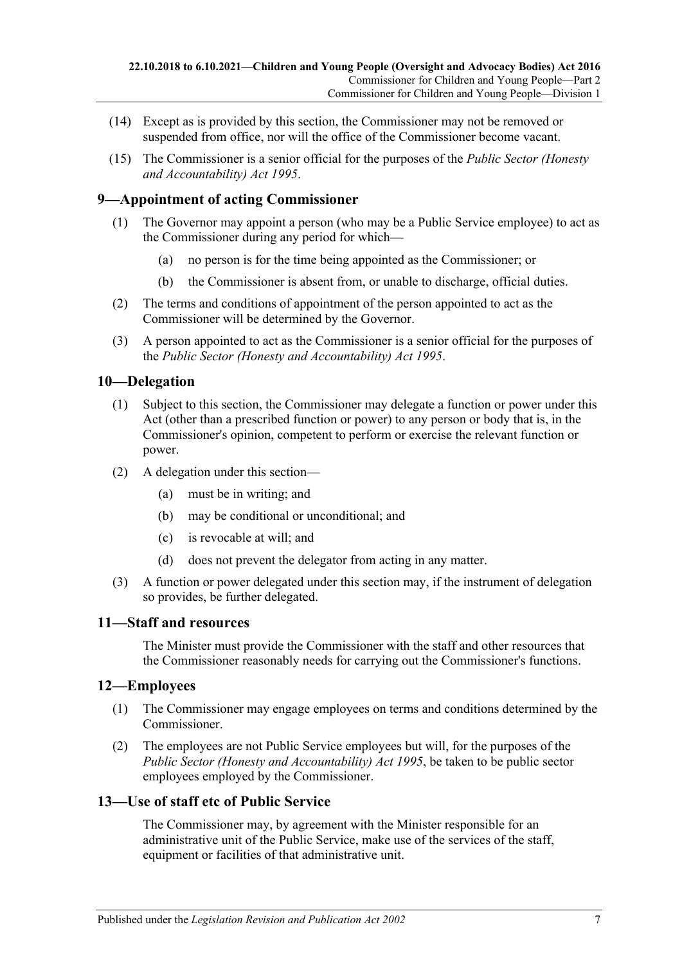- (14) Except as is provided by this section, the Commissioner may not be removed or suspended from office, nor will the office of the Commissioner become vacant.
- (15) The Commissioner is a senior official for the purposes of the *[Public Sector \(Honesty](http://www.legislation.sa.gov.au/index.aspx?action=legref&type=act&legtitle=Public%20Sector%20(Honesty%20and%20Accountability)%20Act%201995)  [and Accountability\) Act](http://www.legislation.sa.gov.au/index.aspx?action=legref&type=act&legtitle=Public%20Sector%20(Honesty%20and%20Accountability)%20Act%201995) 1995*.

## <span id="page-6-0"></span>**9—Appointment of acting Commissioner**

- (1) The Governor may appoint a person (who may be a Public Service employee) to act as the Commissioner during any period for which—
	- (a) no person is for the time being appointed as the Commissioner; or
	- (b) the Commissioner is absent from, or unable to discharge, official duties.
- (2) The terms and conditions of appointment of the person appointed to act as the Commissioner will be determined by the Governor.
- (3) A person appointed to act as the Commissioner is a senior official for the purposes of the *[Public Sector \(Honesty and Accountability\) Act](http://www.legislation.sa.gov.au/index.aspx?action=legref&type=act&legtitle=Public%20Sector%20(Honesty%20and%20Accountability)%20Act%201995) 1995*.

#### <span id="page-6-1"></span>**10—Delegation**

- (1) Subject to this section, the Commissioner may delegate a function or power under this Act (other than a prescribed function or power) to any person or body that is, in the Commissioner's opinion, competent to perform or exercise the relevant function or power.
- (2) A delegation under this section—
	- (a) must be in writing; and
	- (b) may be conditional or unconditional; and
	- (c) is revocable at will; and
	- (d) does not prevent the delegator from acting in any matter.
- (3) A function or power delegated under this section may, if the instrument of delegation so provides, be further delegated.

#### <span id="page-6-2"></span>**11—Staff and resources**

The Minister must provide the Commissioner with the staff and other resources that the Commissioner reasonably needs for carrying out the Commissioner's functions.

#### <span id="page-6-3"></span>**12—Employees**

- (1) The Commissioner may engage employees on terms and conditions determined by the Commissioner.
- (2) The employees are not Public Service employees but will, for the purposes of the *[Public Sector \(Honesty and Accountability\) Act](http://www.legislation.sa.gov.au/index.aspx?action=legref&type=act&legtitle=Public%20Sector%20(Honesty%20and%20Accountability)%20Act%201995) 1995*, be taken to be public sector employees employed by the Commissioner.

#### <span id="page-6-4"></span>**13—Use of staff etc of Public Service**

The Commissioner may, by agreement with the Minister responsible for an administrative unit of the Public Service, make use of the services of the staff, equipment or facilities of that administrative unit.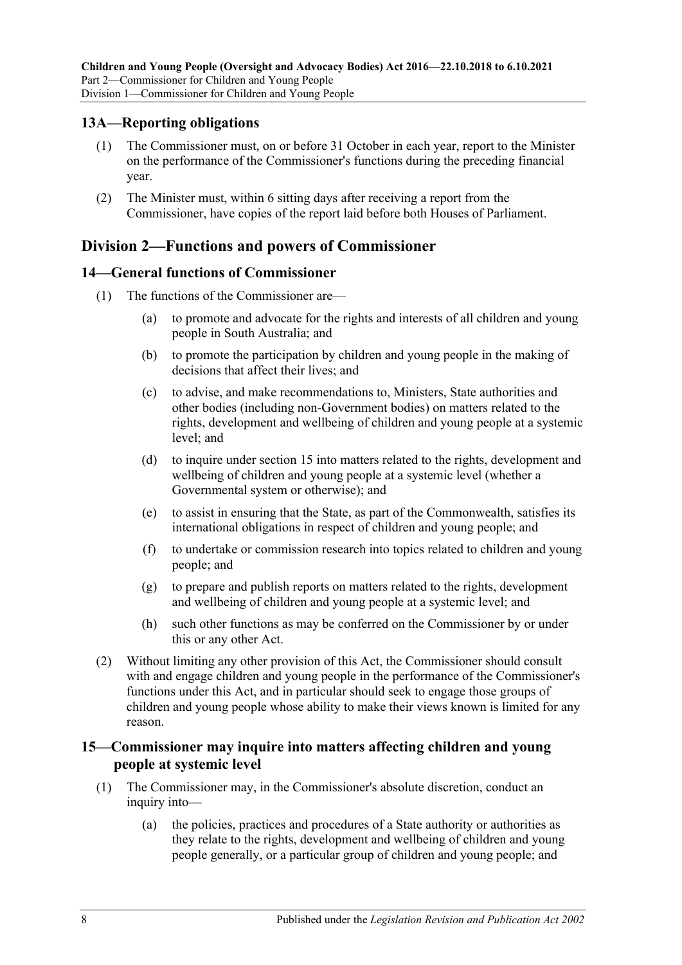#### <span id="page-7-0"></span>**13A—Reporting obligations**

- (1) The Commissioner must, on or before 31 October in each year, report to the Minister on the performance of the Commissioner's functions during the preceding financial year.
- (2) The Minister must, within 6 sitting days after receiving a report from the Commissioner, have copies of the report laid before both Houses of Parliament.

### <span id="page-7-1"></span>**Division 2—Functions and powers of Commissioner**

#### <span id="page-7-2"></span>**14—General functions of Commissioner**

- (1) The functions of the Commissioner are—
	- (a) to promote and advocate for the rights and interests of all children and young people in South Australia; and
	- (b) to promote the participation by children and young people in the making of decisions that affect their lives; and
	- (c) to advise, and make recommendations to, Ministers, State authorities and other bodies (including non-Government bodies) on matters related to the rights, development and wellbeing of children and young people at a systemic level; and
	- (d) to inquire under [section](#page-7-3) 15 into matters related to the rights, development and wellbeing of children and young people at a systemic level (whether a Governmental system or otherwise); and
	- (e) to assist in ensuring that the State, as part of the Commonwealth, satisfies its international obligations in respect of children and young people; and
	- (f) to undertake or commission research into topics related to children and young people; and
	- (g) to prepare and publish reports on matters related to the rights, development and wellbeing of children and young people at a systemic level; and
	- (h) such other functions as may be conferred on the Commissioner by or under this or any other Act.
- (2) Without limiting any other provision of this Act, the Commissioner should consult with and engage children and young people in the performance of the Commissioner's functions under this Act, and in particular should seek to engage those groups of children and young people whose ability to make their views known is limited for any reason.

#### <span id="page-7-3"></span>**15—Commissioner may inquire into matters affecting children and young people at systemic level**

- (1) The Commissioner may, in the Commissioner's absolute discretion, conduct an inquiry into—
	- (a) the policies, practices and procedures of a State authority or authorities as they relate to the rights, development and wellbeing of children and young people generally, or a particular group of children and young people; and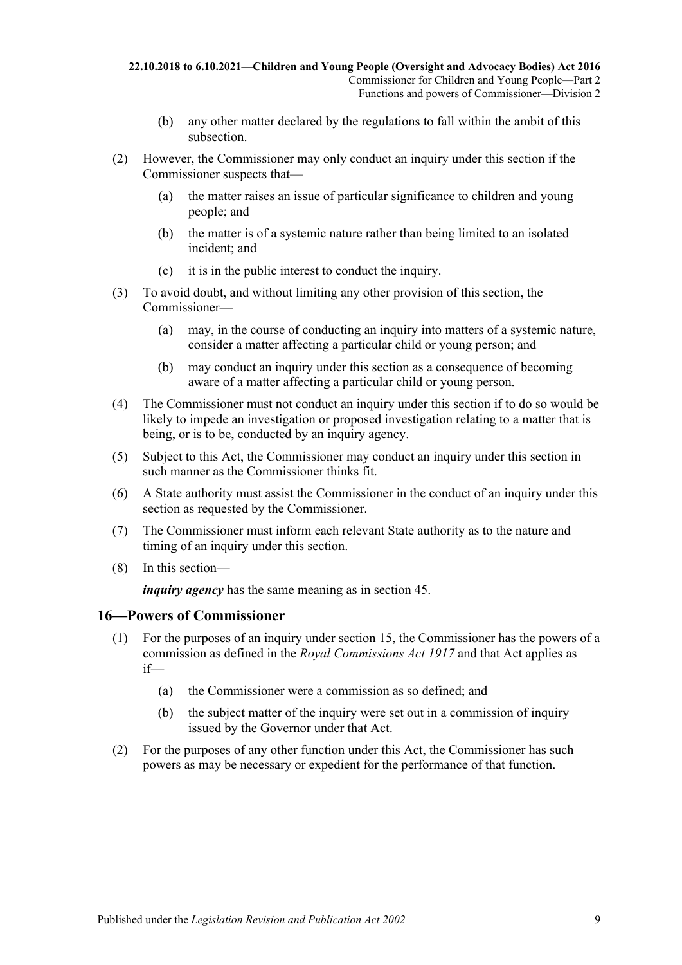- (b) any other matter declared by the regulations to fall within the ambit of this subsection.
- (2) However, the Commissioner may only conduct an inquiry under this section if the Commissioner suspects that—
	- (a) the matter raises an issue of particular significance to children and young people; and
	- (b) the matter is of a systemic nature rather than being limited to an isolated incident; and
	- (c) it is in the public interest to conduct the inquiry.
- (3) To avoid doubt, and without limiting any other provision of this section, the Commissioner—
	- (a) may, in the course of conducting an inquiry into matters of a systemic nature, consider a matter affecting a particular child or young person; and
	- (b) may conduct an inquiry under this section as a consequence of becoming aware of a matter affecting a particular child or young person.
- (4) The Commissioner must not conduct an inquiry under this section if to do so would be likely to impede an investigation or proposed investigation relating to a matter that is being, or is to be, conducted by an inquiry agency.
- (5) Subject to this Act, the Commissioner may conduct an inquiry under this section in such manner as the Commissioner thinks fit.
- (6) A State authority must assist the Commissioner in the conduct of an inquiry under this section as requested by the Commissioner.
- (7) The Commissioner must inform each relevant State authority as to the nature and timing of an inquiry under this section.
- (8) In this section—

*inquiry agency* has the same meaning as in [section](#page-20-0) 45.

#### <span id="page-8-0"></span>**16—Powers of Commissioner**

- (1) For the purposes of an inquiry under [section](#page-7-3) 15, the Commissioner has the powers of a commission as defined in the *[Royal Commissions Act](http://www.legislation.sa.gov.au/index.aspx?action=legref&type=act&legtitle=Royal%20Commissions%20Act%201917) 1917* and that Act applies as if—
	- (a) the Commissioner were a commission as so defined; and
	- (b) the subject matter of the inquiry were set out in a commission of inquiry issued by the Governor under that Act.
- (2) For the purposes of any other function under this Act, the Commissioner has such powers as may be necessary or expedient for the performance of that function.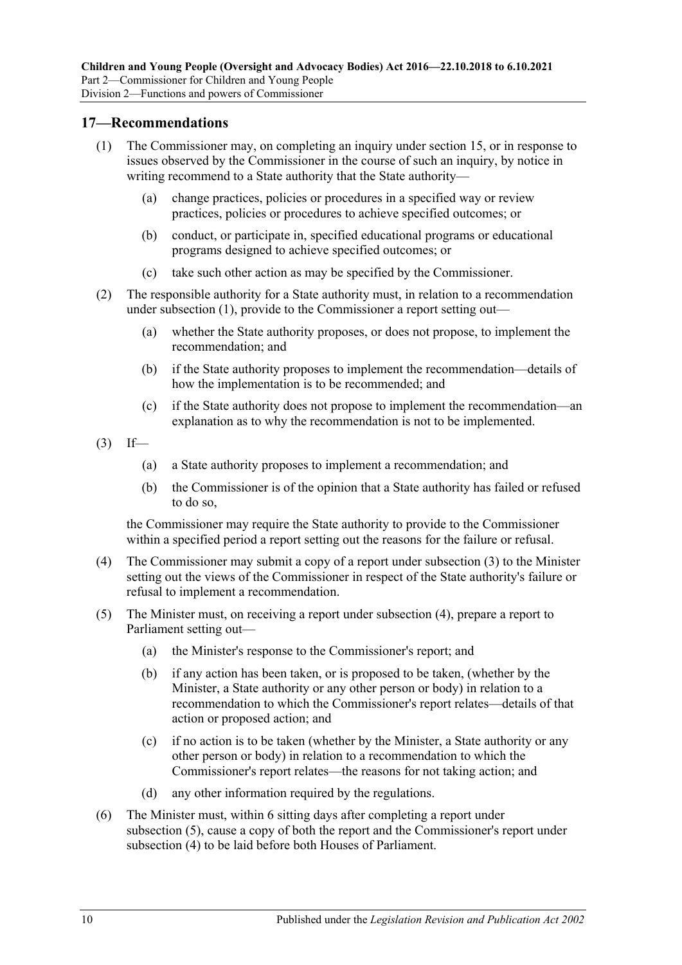#### <span id="page-9-1"></span><span id="page-9-0"></span>**17—Recommendations**

- (1) The Commissioner may, on completing an inquiry under [section](#page-7-3) 15, or in response to issues observed by the Commissioner in the course of such an inquiry, by notice in writing recommend to a State authority that the State authority—
	- (a) change practices, policies or procedures in a specified way or review practices, policies or procedures to achieve specified outcomes; or
	- (b) conduct, or participate in, specified educational programs or educational programs designed to achieve specified outcomes; or
	- (c) take such other action as may be specified by the Commissioner.
- (2) The responsible authority for a State authority must, in relation to a recommendation under [subsection](#page-9-1) (1), provide to the Commissioner a report setting out—
	- (a) whether the State authority proposes, or does not propose, to implement the recommendation; and
	- (b) if the State authority proposes to implement the recommendation—details of how the implementation is to be recommended; and
	- (c) if the State authority does not propose to implement the recommendation—an explanation as to why the recommendation is not to be implemented.
- <span id="page-9-2"></span> $(3)$  If—
	- (a) a State authority proposes to implement a recommendation; and
	- (b) the Commissioner is of the opinion that a State authority has failed or refused to do so,

the Commissioner may require the State authority to provide to the Commissioner within a specified period a report setting out the reasons for the failure or refusal.

- <span id="page-9-3"></span>(4) The Commissioner may submit a copy of a report under [subsection](#page-9-2) (3) to the Minister setting out the views of the Commissioner in respect of the State authority's failure or refusal to implement a recommendation.
- <span id="page-9-4"></span>(5) The Minister must, on receiving a report under [subsection](#page-9-3) (4), prepare a report to Parliament setting out—
	- (a) the Minister's response to the Commissioner's report; and
	- (b) if any action has been taken, or is proposed to be taken, (whether by the Minister, a State authority or any other person or body) in relation to a recommendation to which the Commissioner's report relates—details of that action or proposed action; and
	- (c) if no action is to be taken (whether by the Minister, a State authority or any other person or body) in relation to a recommendation to which the Commissioner's report relates—the reasons for not taking action; and
	- (d) any other information required by the regulations.
- (6) The Minister must, within 6 sitting days after completing a report under [subsection](#page-9-4) (5), cause a copy of both the report and the Commissioner's report under [subsection](#page-9-3) (4) to be laid before both Houses of Parliament.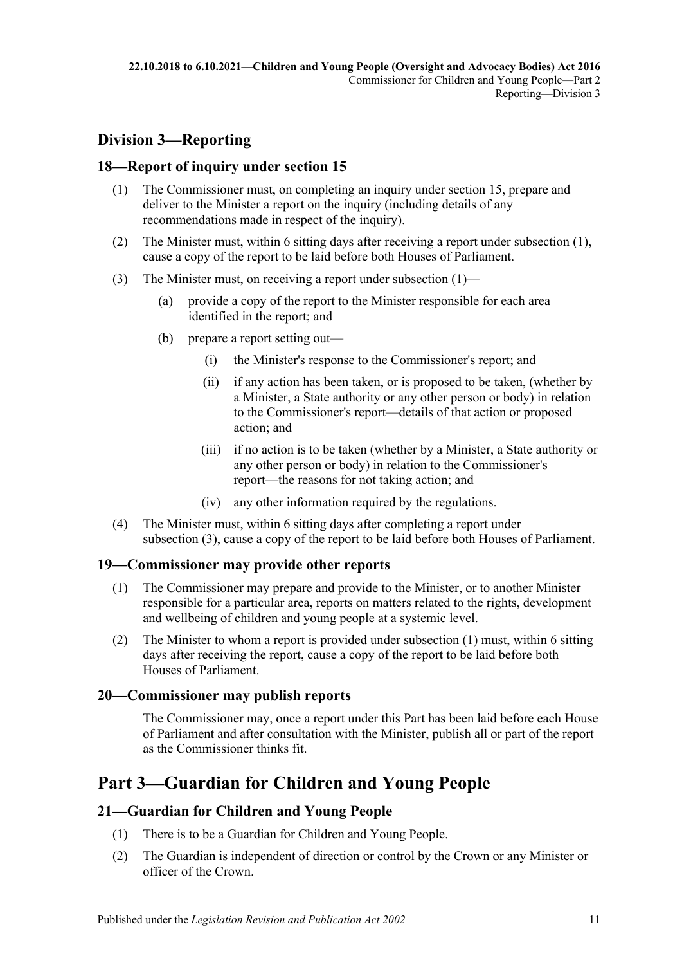## <span id="page-10-0"></span>**Division 3—Reporting**

### <span id="page-10-6"></span><span id="page-10-1"></span>**18—Report of inquiry under [section](#page-7-3) 15**

- (1) The Commissioner must, on completing an inquiry under [section](#page-7-3) 15, prepare and deliver to the Minister a report on the inquiry (including details of any recommendations made in respect of the inquiry).
- (2) The Minister must, within 6 sitting days after receiving a report under [subsection](#page-10-6) (1), cause a copy of the report to be laid before both Houses of Parliament.
- <span id="page-10-7"></span>(3) The Minister must, on receiving a report under [subsection](#page-10-6) (1)—
	- (a) provide a copy of the report to the Minister responsible for each area identified in the report; and
	- (b) prepare a report setting out—
		- (i) the Minister's response to the Commissioner's report; and
		- (ii) if any action has been taken, or is proposed to be taken, (whether by a Minister, a State authority or any other person or body) in relation to the Commissioner's report—details of that action or proposed action; and
		- (iii) if no action is to be taken (whether by a Minister, a State authority or any other person or body) in relation to the Commissioner's report—the reasons for not taking action; and
		- (iv) any other information required by the regulations.
- (4) The Minister must, within 6 sitting days after completing a report under [subsection](#page-10-7) (3), cause a copy of the report to be laid before both Houses of Parliament.

#### <span id="page-10-8"></span><span id="page-10-2"></span>**19—Commissioner may provide other reports**

- (1) The Commissioner may prepare and provide to the Minister, or to another Minister responsible for a particular area, reports on matters related to the rights, development and wellbeing of children and young people at a systemic level.
- (2) The Minister to whom a report is provided under [subsection](#page-10-8) (1) must, within 6 sitting days after receiving the report, cause a copy of the report to be laid before both Houses of Parliament.

## <span id="page-10-3"></span>**20—Commissioner may publish reports**

The Commissioner may, once a report under this Part has been laid before each House of Parliament and after consultation with the Minister, publish all or part of the report as the Commissioner thinks fit.

## <span id="page-10-4"></span>**Part 3—Guardian for Children and Young People**

## <span id="page-10-5"></span>**21—Guardian for Children and Young People**

- (1) There is to be a Guardian for Children and Young People.
- (2) The Guardian is independent of direction or control by the Crown or any Minister or officer of the Crown.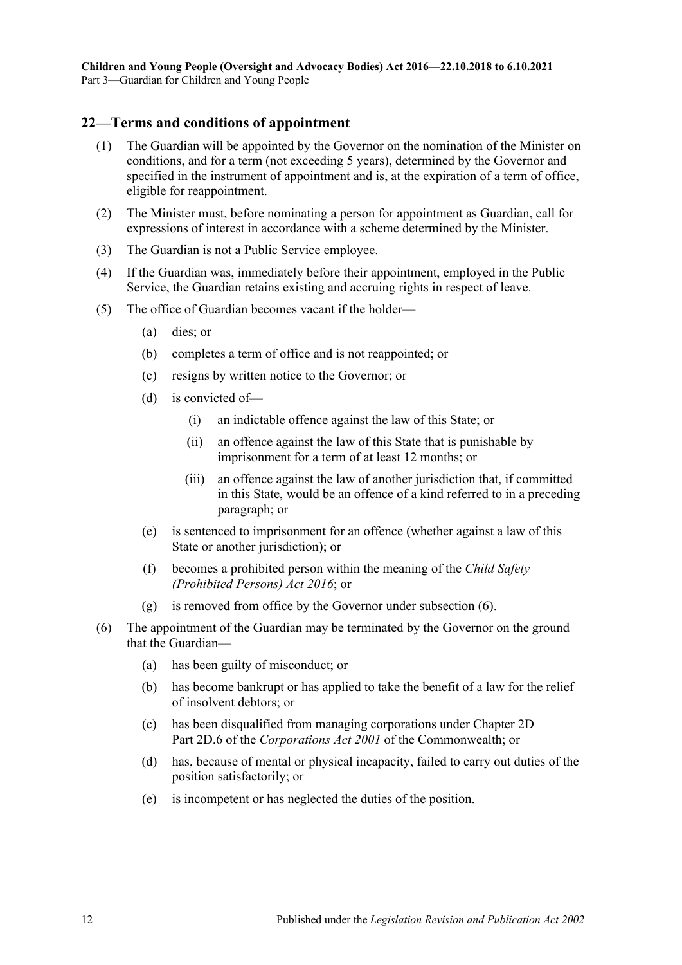#### <span id="page-11-0"></span>**22—Terms and conditions of appointment**

- (1) The Guardian will be appointed by the Governor on the nomination of the Minister on conditions, and for a term (not exceeding 5 years), determined by the Governor and specified in the instrument of appointment and is, at the expiration of a term of office, eligible for reappointment.
- (2) The Minister must, before nominating a person for appointment as Guardian, call for expressions of interest in accordance with a scheme determined by the Minister.
- (3) The Guardian is not a Public Service employee.
- (4) If the Guardian was, immediately before their appointment, employed in the Public Service, the Guardian retains existing and accruing rights in respect of leave.
- (5) The office of Guardian becomes vacant if the holder—
	- (a) dies; or
	- (b) completes a term of office and is not reappointed; or
	- (c) resigns by written notice to the Governor; or
	- (d) is convicted of—
		- (i) an indictable offence against the law of this State; or
		- (ii) an offence against the law of this State that is punishable by imprisonment for a term of at least 12 months; or
		- (iii) an offence against the law of another jurisdiction that, if committed in this State, would be an offence of a kind referred to in a preceding paragraph; or
	- (e) is sentenced to imprisonment for an offence (whether against a law of this State or another jurisdiction); or
	- (f) becomes a prohibited person within the meaning of the *[Child Safety](http://www.legislation.sa.gov.au/index.aspx?action=legref&type=act&legtitle=Child%20Safety%20(Prohibited%20Persons)%20Act%202016)  [\(Prohibited Persons\) Act](http://www.legislation.sa.gov.au/index.aspx?action=legref&type=act&legtitle=Child%20Safety%20(Prohibited%20Persons)%20Act%202016) 2016*; or
	- (g) is removed from office by the Governor under [subsection](#page-11-1) (6).
- <span id="page-11-1"></span>(6) The appointment of the Guardian may be terminated by the Governor on the ground that the Guardian—
	- (a) has been guilty of misconduct; or
	- (b) has become bankrupt or has applied to take the benefit of a law for the relief of insolvent debtors; or
	- (c) has been disqualified from managing corporations under Chapter 2D Part 2D.6 of the *Corporations Act 2001* of the Commonwealth; or
	- (d) has, because of mental or physical incapacity, failed to carry out duties of the position satisfactorily; or
	- (e) is incompetent or has neglected the duties of the position.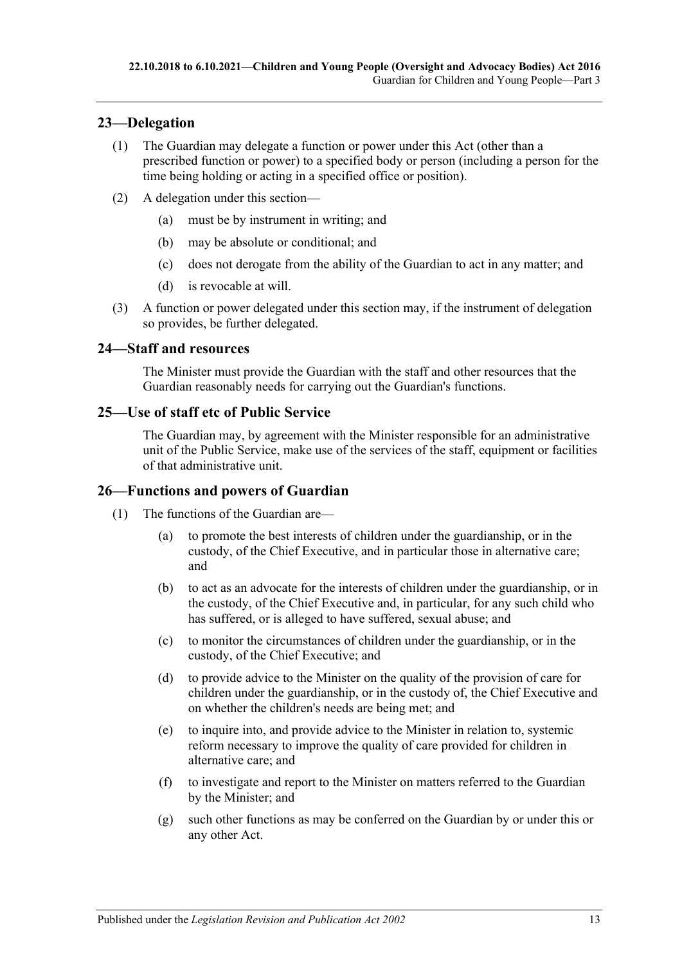### <span id="page-12-0"></span>**23—Delegation**

- (1) The Guardian may delegate a function or power under this Act (other than a prescribed function or power) to a specified body or person (including a person for the time being holding or acting in a specified office or position).
- (2) A delegation under this section—
	- (a) must be by instrument in writing; and
	- (b) may be absolute or conditional; and
	- (c) does not derogate from the ability of the Guardian to act in any matter; and
	- (d) is revocable at will.
- (3) A function or power delegated under this section may, if the instrument of delegation so provides, be further delegated.

#### <span id="page-12-1"></span>**24—Staff and resources**

The Minister must provide the Guardian with the staff and other resources that the Guardian reasonably needs for carrying out the Guardian's functions.

### <span id="page-12-2"></span>**25—Use of staff etc of Public Service**

The Guardian may, by agreement with the Minister responsible for an administrative unit of the Public Service, make use of the services of the staff, equipment or facilities of that administrative unit.

#### <span id="page-12-3"></span>**26—Functions and powers of Guardian**

- (1) The functions of the Guardian are—
	- (a) to promote the best interests of children under the guardianship, or in the custody, of the Chief Executive, and in particular those in alternative care; and
	- (b) to act as an advocate for the interests of children under the guardianship, or in the custody, of the Chief Executive and, in particular, for any such child who has suffered, or is alleged to have suffered, sexual abuse; and
	- (c) to monitor the circumstances of children under the guardianship, or in the custody, of the Chief Executive; and
	- (d) to provide advice to the Minister on the quality of the provision of care for children under the guardianship, or in the custody of, the Chief Executive and on whether the children's needs are being met; and
	- (e) to inquire into, and provide advice to the Minister in relation to, systemic reform necessary to improve the quality of care provided for children in alternative care; and
	- (f) to investigate and report to the Minister on matters referred to the Guardian by the Minister; and
	- (g) such other functions as may be conferred on the Guardian by or under this or any other Act.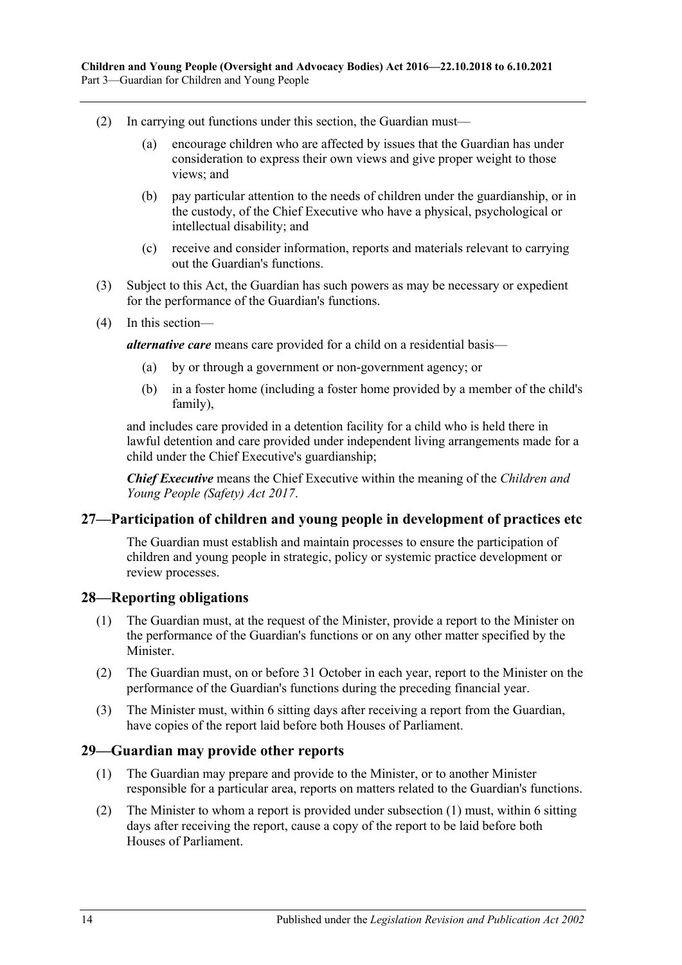- (2) In carrying out functions under this section, the Guardian must—
	- (a) encourage children who are affected by issues that the Guardian has under consideration to express their own views and give proper weight to those views; and
	- (b) pay particular attention to the needs of children under the guardianship, or in the custody, of the Chief Executive who have a physical, psychological or intellectual disability; and
	- (c) receive and consider information, reports and materials relevant to carrying out the Guardian's functions.
- (3) Subject to this Act, the Guardian has such powers as may be necessary or expedient for the performance of the Guardian's functions.
- (4) In this section—

*alternative care* means care provided for a child on a residential basis—

- (a) by or through a government or non-government agency; or
- (b) in a foster home (including a foster home provided by a member of the child's family),

and includes care provided in a detention facility for a child who is held there in lawful detention and care provided under independent living arrangements made for a child under the Chief Executive's guardianship;

*Chief Executive* means the Chief Executive within the meaning of the *[Children and](http://www.legislation.sa.gov.au/index.aspx?action=legref&type=act&legtitle=Children%20and%20Young%20People%20(Safety)%20Act%202017)  [Young People \(Safety\) Act](http://www.legislation.sa.gov.au/index.aspx?action=legref&type=act&legtitle=Children%20and%20Young%20People%20(Safety)%20Act%202017) 2017*.

#### <span id="page-13-0"></span>**27—Participation of children and young people in development of practices etc**

The Guardian must establish and maintain processes to ensure the participation of children and young people in strategic, policy or systemic practice development or review processes.

#### <span id="page-13-1"></span>**28—Reporting obligations**

- (1) The Guardian must, at the request of the Minister, provide a report to the Minister on the performance of the Guardian's functions or on any other matter specified by the **Minister**
- (2) The Guardian must, on or before 31 October in each year, report to the Minister on the performance of the Guardian's functions during the preceding financial year.
- (3) The Minister must, within 6 sitting days after receiving a report from the Guardian, have copies of the report laid before both Houses of Parliament.

#### <span id="page-13-3"></span><span id="page-13-2"></span>**29—Guardian may provide other reports**

- (1) The Guardian may prepare and provide to the Minister, or to another Minister responsible for a particular area, reports on matters related to the Guardian's functions.
- (2) The Minister to whom a report is provided under [subsection](#page-13-3) (1) must, within 6 sitting days after receiving the report, cause a copy of the report to be laid before both Houses of Parliament.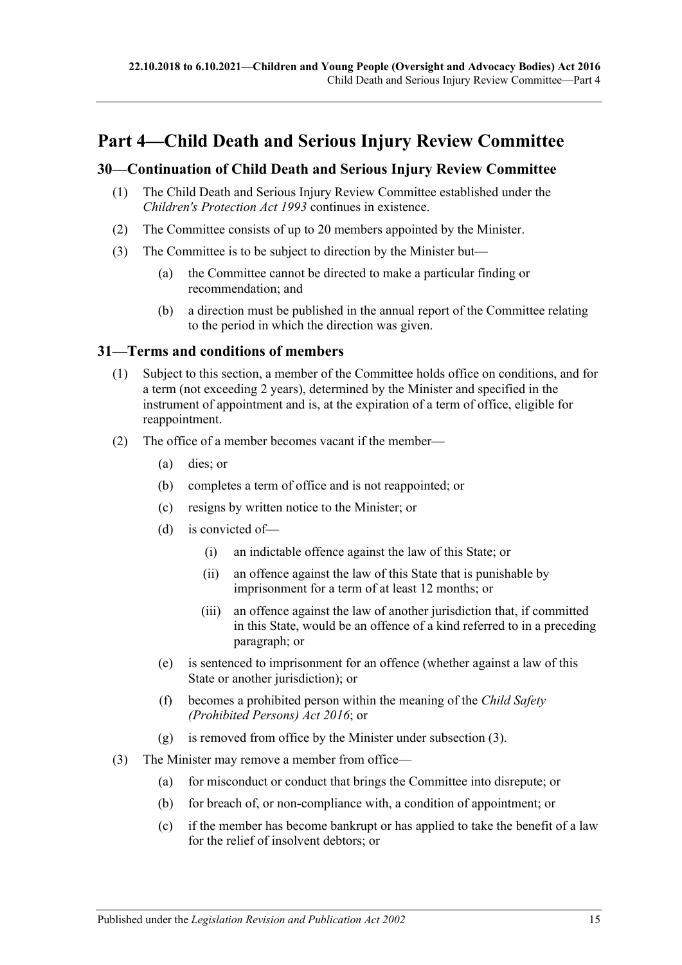## <span id="page-14-0"></span>**Part 4—Child Death and Serious Injury Review Committee**

### <span id="page-14-1"></span>**30—Continuation of Child Death and Serious Injury Review Committee**

- (1) The Child Death and Serious Injury Review Committee established under the *[Children's Protection Act](http://www.legislation.sa.gov.au/index.aspx?action=legref&type=act&legtitle=Childrens%20Protection%20Act%201993) 1993* continues in existence.
- (2) The Committee consists of up to 20 members appointed by the Minister.
- (3) The Committee is to be subject to direction by the Minister but—
	- (a) the Committee cannot be directed to make a particular finding or recommendation; and
	- (b) a direction must be published in the annual report of the Committee relating to the period in which the direction was given.

#### <span id="page-14-2"></span>**31—Terms and conditions of members**

- (1) Subject to this section, a member of the Committee holds office on conditions, and for a term (not exceeding 2 years), determined by the Minister and specified in the instrument of appointment and is, at the expiration of a term of office, eligible for reappointment.
- (2) The office of a member becomes vacant if the member—
	- (a) dies; or
	- (b) completes a term of office and is not reappointed; or
	- (c) resigns by written notice to the Minister; or
	- (d) is convicted of—
		- (i) an indictable offence against the law of this State; or
		- (ii) an offence against the law of this State that is punishable by imprisonment for a term of at least 12 months; or
		- (iii) an offence against the law of another jurisdiction that, if committed in this State, would be an offence of a kind referred to in a preceding paragraph; or
	- (e) is sentenced to imprisonment for an offence (whether against a law of this State or another jurisdiction); or
	- (f) becomes a prohibited person within the meaning of the *[Child Safety](http://www.legislation.sa.gov.au/index.aspx?action=legref&type=act&legtitle=Child%20Safety%20(Prohibited%20Persons)%20Act%202016)  [\(Prohibited Persons\) Act](http://www.legislation.sa.gov.au/index.aspx?action=legref&type=act&legtitle=Child%20Safety%20(Prohibited%20Persons)%20Act%202016) 2016*; or
	- (g) is removed from office by the Minister under [subsection](#page-14-3) (3).
- <span id="page-14-3"></span>(3) The Minister may remove a member from office—
	- (a) for misconduct or conduct that brings the Committee into disrepute; or
	- (b) for breach of, or non-compliance with, a condition of appointment; or
	- (c) if the member has become bankrupt or has applied to take the benefit of a law for the relief of insolvent debtors; or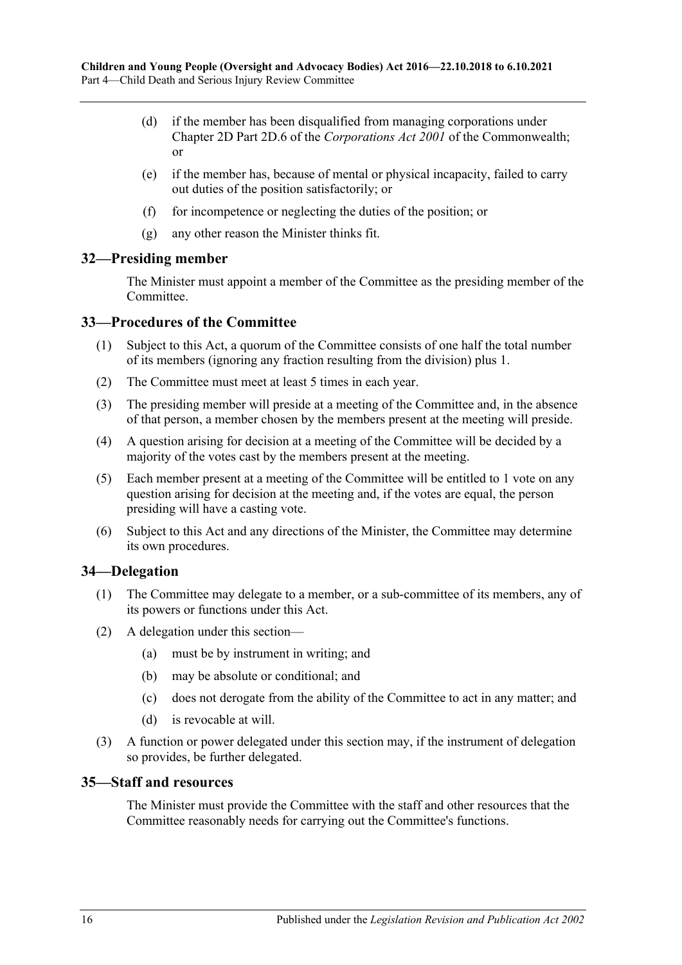- (d) if the member has been disqualified from managing corporations under Chapter 2D Part 2D.6 of the *Corporations Act 2001* of the Commonwealth; or
- (e) if the member has, because of mental or physical incapacity, failed to carry out duties of the position satisfactorily; or
- (f) for incompetence or neglecting the duties of the position; or
- (g) any other reason the Minister thinks fit.

#### <span id="page-15-0"></span>**32—Presiding member**

The Minister must appoint a member of the Committee as the presiding member of the Committee.

#### <span id="page-15-1"></span>**33—Procedures of the Committee**

- (1) Subject to this Act, a quorum of the Committee consists of one half the total number of its members (ignoring any fraction resulting from the division) plus 1.
- (2) The Committee must meet at least 5 times in each year.
- (3) The presiding member will preside at a meeting of the Committee and, in the absence of that person, a member chosen by the members present at the meeting will preside.
- (4) A question arising for decision at a meeting of the Committee will be decided by a majority of the votes cast by the members present at the meeting.
- (5) Each member present at a meeting of the Committee will be entitled to 1 vote on any question arising for decision at the meeting and, if the votes are equal, the person presiding will have a casting vote.
- (6) Subject to this Act and any directions of the Minister, the Committee may determine its own procedures.

#### <span id="page-15-2"></span>**34—Delegation**

- (1) The Committee may delegate to a member, or a sub-committee of its members, any of its powers or functions under this Act.
- (2) A delegation under this section—
	- (a) must be by instrument in writing; and
	- (b) may be absolute or conditional; and
	- (c) does not derogate from the ability of the Committee to act in any matter; and
	- (d) is revocable at will.
- (3) A function or power delegated under this section may, if the instrument of delegation so provides, be further delegated.

#### <span id="page-15-3"></span>**35—Staff and resources**

The Minister must provide the Committee with the staff and other resources that the Committee reasonably needs for carrying out the Committee's functions.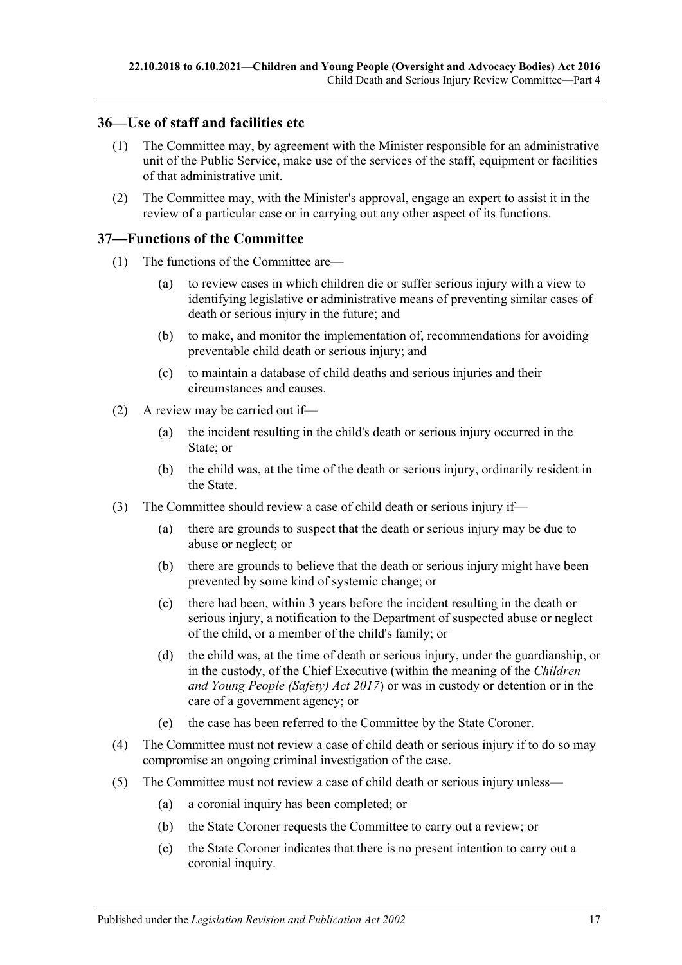### <span id="page-16-0"></span>**36—Use of staff and facilities etc**

- (1) The Committee may, by agreement with the Minister responsible for an administrative unit of the Public Service, make use of the services of the staff, equipment or facilities of that administrative unit.
- (2) The Committee may, with the Minister's approval, engage an expert to assist it in the review of a particular case or in carrying out any other aspect of its functions.

#### <span id="page-16-1"></span>**37—Functions of the Committee**

- (1) The functions of the Committee are—
	- (a) to review cases in which children die or suffer serious injury with a view to identifying legislative or administrative means of preventing similar cases of death or serious injury in the future; and
	- (b) to make, and monitor the implementation of, recommendations for avoiding preventable child death or serious injury; and
	- (c) to maintain a database of child deaths and serious injuries and their circumstances and causes.
- (2) A review may be carried out if—
	- (a) the incident resulting in the child's death or serious injury occurred in the State; or
	- (b) the child was, at the time of the death or serious injury, ordinarily resident in the State.
- (3) The Committee should review a case of child death or serious injury if—
	- (a) there are grounds to suspect that the death or serious injury may be due to abuse or neglect; or
	- (b) there are grounds to believe that the death or serious injury might have been prevented by some kind of systemic change; or
	- (c) there had been, within 3 years before the incident resulting in the death or serious injury, a notification to the Department of suspected abuse or neglect of the child, or a member of the child's family; or
	- (d) the child was, at the time of death or serious injury, under the guardianship, or in the custody, of the Chief Executive (within the meaning of the *[Children](http://www.legislation.sa.gov.au/index.aspx?action=legref&type=act&legtitle=Children%20and%20Young%20People%20(Safety)%20Act%202017)  [and Young People \(Safety\) Act](http://www.legislation.sa.gov.au/index.aspx?action=legref&type=act&legtitle=Children%20and%20Young%20People%20(Safety)%20Act%202017) 2017*) or was in custody or detention or in the care of a government agency; or
	- (e) the case has been referred to the Committee by the State Coroner.
- (4) The Committee must not review a case of child death or serious injury if to do so may compromise an ongoing criminal investigation of the case.
- (5) The Committee must not review a case of child death or serious injury unless—
	- (a) a coronial inquiry has been completed; or
	- (b) the State Coroner requests the Committee to carry out a review; or
	- (c) the State Coroner indicates that there is no present intention to carry out a coronial inquiry.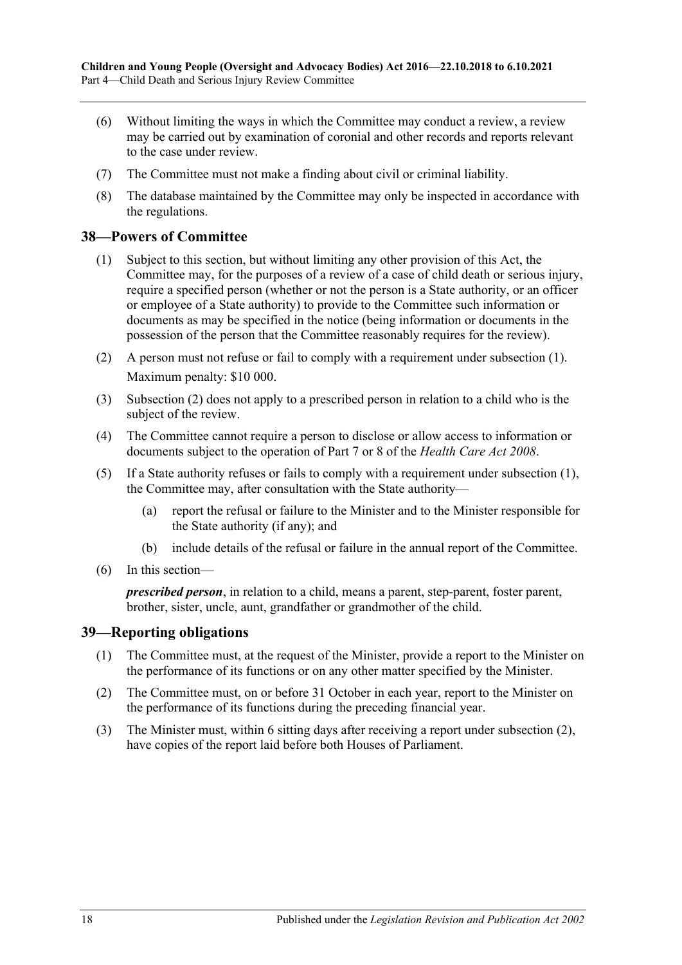- (6) Without limiting the ways in which the Committee may conduct a review, a review may be carried out by examination of coronial and other records and reports relevant to the case under review.
- (7) The Committee must not make a finding about civil or criminal liability.
- (8) The database maintained by the Committee may only be inspected in accordance with the regulations.

#### <span id="page-17-2"></span><span id="page-17-0"></span>**38—Powers of Committee**

- (1) Subject to this section, but without limiting any other provision of this Act, the Committee may, for the purposes of a review of a case of child death or serious injury, require a specified person (whether or not the person is a State authority, or an officer or employee of a State authority) to provide to the Committee such information or documents as may be specified in the notice (being information or documents in the possession of the person that the Committee reasonably requires for the review).
- <span id="page-17-3"></span>(2) A person must not refuse or fail to comply with a requirement under [subsection](#page-17-2) (1). Maximum penalty: \$10 000.
- (3) [Subsection](#page-17-3) (2) does not apply to a prescribed person in relation to a child who is the subject of the review.
- (4) The Committee cannot require a person to disclose or allow access to information or documents subject to the operation of Part 7 or 8 of the *[Health Care Act](http://www.legislation.sa.gov.au/index.aspx?action=legref&type=act&legtitle=Health%20Care%20Act%202008) 2008*.
- (5) If a State authority refuses or fails to comply with a requirement under [subsection](#page-17-2) (1), the Committee may, after consultation with the State authority—
	- (a) report the refusal or failure to the Minister and to the Minister responsible for the State authority (if any); and
	- (b) include details of the refusal or failure in the annual report of the Committee.
- (6) In this section—

*prescribed person*, in relation to a child, means a parent, step-parent, foster parent, brother, sister, uncle, aunt, grandfather or grandmother of the child.

#### <span id="page-17-1"></span>**39—Reporting obligations**

- (1) The Committee must, at the request of the Minister, provide a report to the Minister on the performance of its functions or on any other matter specified by the Minister.
- <span id="page-17-4"></span>(2) The Committee must, on or before 31 October in each year, report to the Minister on the performance of its functions during the preceding financial year.
- (3) The Minister must, within 6 sitting days after receiving a report under [subsection](#page-17-4) (2), have copies of the report laid before both Houses of Parliament.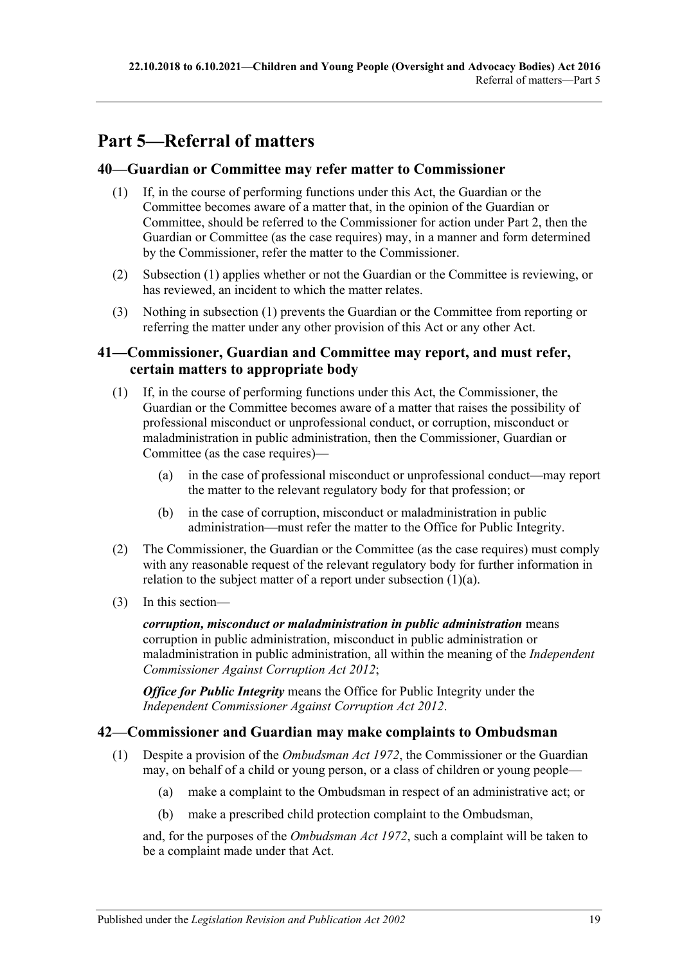# <span id="page-18-0"></span>**Part 5—Referral of matters**

#### <span id="page-18-4"></span><span id="page-18-1"></span>**40—Guardian or Committee may refer matter to Commissioner**

- (1) If, in the course of performing functions under this Act, the Guardian or the Committee becomes aware of a matter that, in the opinion of the Guardian or Committee, should be referred to the Commissioner for action under [Part](#page-4-2) 2, then the Guardian or Committee (as the case requires) may, in a manner and form determined by the Commissioner, refer the matter to the Commissioner.
- (2) [Subsection](#page-18-4) (1) applies whether or not the Guardian or the Committee is reviewing, or has reviewed, an incident to which the matter relates.
- (3) Nothing in [subsection](#page-18-4) (1) prevents the Guardian or the Committee from reporting or referring the matter under any other provision of this Act or any other Act.

### <span id="page-18-2"></span>**41—Commissioner, Guardian and Committee may report, and must refer, certain matters to appropriate body**

- <span id="page-18-5"></span>(1) If, in the course of performing functions under this Act, the Commissioner, the Guardian or the Committee becomes aware of a matter that raises the possibility of professional misconduct or unprofessional conduct, or corruption, misconduct or maladministration in public administration, then the Commissioner, Guardian or Committee (as the case requires)—
	- (a) in the case of professional misconduct or unprofessional conduct—may report the matter to the relevant regulatory body for that profession; or
	- (b) in the case of corruption, misconduct or maladministration in public administration—must refer the matter to the Office for Public Integrity.
- (2) The Commissioner, the Guardian or the Committee (as the case requires) must comply with any reasonable request of the relevant regulatory body for further information in relation to the subject matter of a report under [subsection](#page-18-5) (1)(a).
- (3) In this section—

*corruption, misconduct or maladministration in public administration* means corruption in public administration, misconduct in public administration or maladministration in public administration, all within the meaning of the *[Independent](http://www.legislation.sa.gov.au/index.aspx?action=legref&type=act&legtitle=Independent%20Commissioner%20Against%20Corruption%20Act%202012)  [Commissioner Against Corruption Act](http://www.legislation.sa.gov.au/index.aspx?action=legref&type=act&legtitle=Independent%20Commissioner%20Against%20Corruption%20Act%202012) 2012*;

*Office for Public Integrity* means the Office for Public Integrity under the *[Independent Commissioner Against Corruption Act](http://www.legislation.sa.gov.au/index.aspx?action=legref&type=act&legtitle=Independent%20Commissioner%20Against%20Corruption%20Act%202012) 2012*.

#### <span id="page-18-3"></span>**42—Commissioner and Guardian may make complaints to Ombudsman**

- <span id="page-18-6"></span>(1) Despite a provision of the *[Ombudsman Act](http://www.legislation.sa.gov.au/index.aspx?action=legref&type=act&legtitle=Ombudsman%20Act%201972) 1972*, the Commissioner or the Guardian may, on behalf of a child or young person, or a class of children or young people—
	- (a) make a complaint to the Ombudsman in respect of an administrative act; or
	- (b) make a prescribed child protection complaint to the Ombudsman,

and, for the purposes of the *[Ombudsman Act](http://www.legislation.sa.gov.au/index.aspx?action=legref&type=act&legtitle=Ombudsman%20Act%201972) 1972*, such a complaint will be taken to be a complaint made under that Act.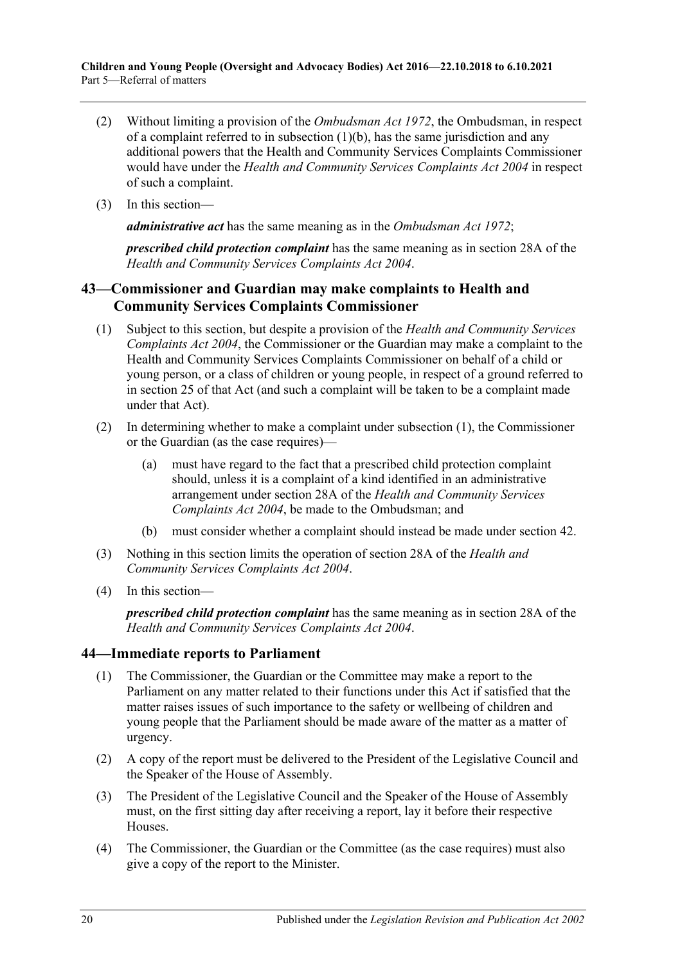- (2) Without limiting a provision of the *[Ombudsman Act](http://www.legislation.sa.gov.au/index.aspx?action=legref&type=act&legtitle=Ombudsman%20Act%201972) 1972*, the Ombudsman, in respect of a complaint referred to in [subsection](#page-18-6)  $(1)(b)$ , has the same jurisdiction and any additional powers that the Health and Community Services Complaints Commissioner would have under the *[Health and Community Services Complaints Act](http://www.legislation.sa.gov.au/index.aspx?action=legref&type=act&legtitle=Health%20and%20Community%20Services%20Complaints%20Act%202004) 2004* in respect of such a complaint.
- (3) In this section—

*administrative act* has the same meaning as in the *[Ombudsman Act](http://www.legislation.sa.gov.au/index.aspx?action=legref&type=act&legtitle=Ombudsman%20Act%201972) 1972*;

*prescribed child protection complaint* has the same meaning as in section 28A of the *Health and Community [Services Complaints Act](http://www.legislation.sa.gov.au/index.aspx?action=legref&type=act&legtitle=Health%20and%20Community%20Services%20Complaints%20Act%202004) 2004*.

## <span id="page-19-0"></span>**43—Commissioner and Guardian may make complaints to Health and Community Services Complaints Commissioner**

- <span id="page-19-2"></span>(1) Subject to this section, but despite a provision of the *[Health and Community Services](http://www.legislation.sa.gov.au/index.aspx?action=legref&type=act&legtitle=Health%20and%20Community%20Services%20Complaints%20Act%202004)  [Complaints Act](http://www.legislation.sa.gov.au/index.aspx?action=legref&type=act&legtitle=Health%20and%20Community%20Services%20Complaints%20Act%202004) 2004*, the Commissioner or the Guardian may make a complaint to the Health and Community Services Complaints Commissioner on behalf of a child or young person, or a class of children or young people, in respect of a ground referred to in section 25 of that Act (and such a complaint will be taken to be a complaint made under that Act).
- (2) In determining whether to make a complaint under [subsection](#page-19-2) (1), the Commissioner or the Guardian (as the case requires)—
	- (a) must have regard to the fact that a prescribed child protection complaint should, unless it is a complaint of a kind identified in an administrative arrangement under section 28A of the *[Health and Community Services](http://www.legislation.sa.gov.au/index.aspx?action=legref&type=act&legtitle=Health%20and%20Community%20Services%20Complaints%20Act%202004)  [Complaints Act](http://www.legislation.sa.gov.au/index.aspx?action=legref&type=act&legtitle=Health%20and%20Community%20Services%20Complaints%20Act%202004) 2004*, be made to the Ombudsman; and
	- (b) must consider whether a complaint should instead be made under [section](#page-18-3) 42.
- (3) Nothing in this section limits the operation of section 28A of the *[Health and](http://www.legislation.sa.gov.au/index.aspx?action=legref&type=act&legtitle=Health%20and%20Community%20Services%20Complaints%20Act%202004)  [Community Services Complaints Act](http://www.legislation.sa.gov.au/index.aspx?action=legref&type=act&legtitle=Health%20and%20Community%20Services%20Complaints%20Act%202004) 2004*.
- (4) In this section—

*prescribed child protection complaint* has the same meaning as in section 28A of the *[Health and Community Services Complaints Act](http://www.legislation.sa.gov.au/index.aspx?action=legref&type=act&legtitle=Health%20and%20Community%20Services%20Complaints%20Act%202004) 2004*.

## <span id="page-19-1"></span>**44—Immediate reports to Parliament**

- (1) The Commissioner, the Guardian or the Committee may make a report to the Parliament on any matter related to their functions under this Act if satisfied that the matter raises issues of such importance to the safety or wellbeing of children and young people that the Parliament should be made aware of the matter as a matter of urgency.
- (2) A copy of the report must be delivered to the President of the Legislative Council and the Speaker of the House of Assembly.
- (3) The President of the Legislative Council and the Speaker of the House of Assembly must, on the first sitting day after receiving a report, lay it before their respective Houses.
- (4) The Commissioner, the Guardian or the Committee (as the case requires) must also give a copy of the report to the Minister.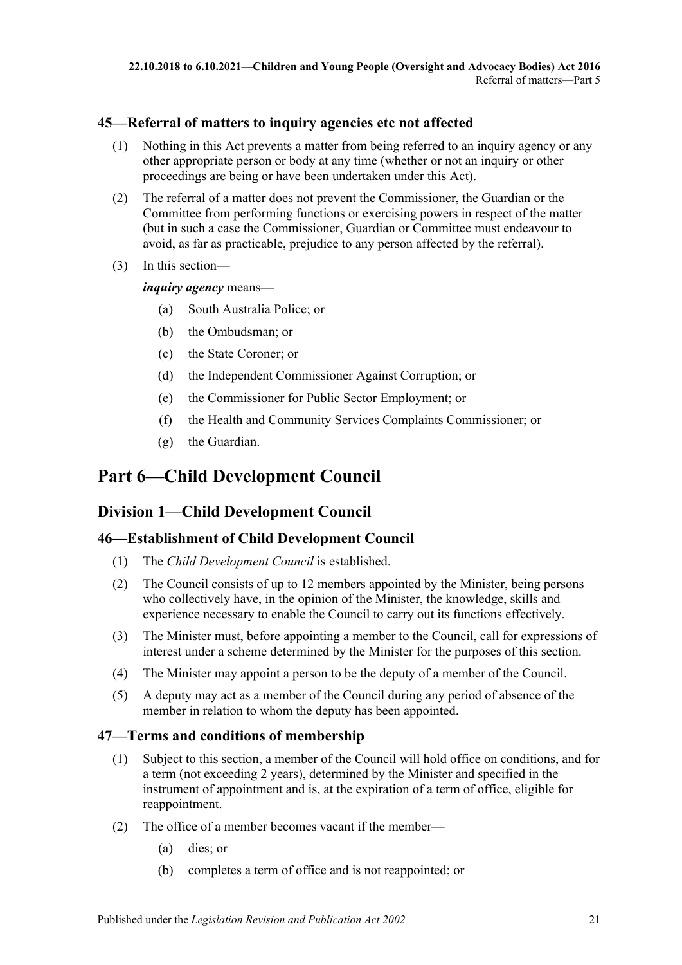### <span id="page-20-0"></span>**45—Referral of matters to inquiry agencies etc not affected**

- (1) Nothing in this Act prevents a matter from being referred to an inquiry agency or any other appropriate person or body at any time (whether or not an inquiry or other proceedings are being or have been undertaken under this Act).
- (2) The referral of a matter does not prevent the Commissioner, the Guardian or the Committee from performing functions or exercising powers in respect of the matter (but in such a case the Commissioner, Guardian or Committee must endeavour to avoid, as far as practicable, prejudice to any person affected by the referral).
- (3) In this section—

*inquiry agency* means—

- (a) South Australia Police; or
- (b) the Ombudsman; or
- (c) the State Coroner; or
- (d) the Independent Commissioner Against Corruption; or
- (e) the Commissioner for Public Sector Employment; or
- (f) the Health and Community Services Complaints Commissioner; or
- (g) the Guardian.

## <span id="page-20-1"></span>**Part 6—Child Development Council**

## <span id="page-20-2"></span>**Division 1—Child Development Council**

#### <span id="page-20-3"></span>**46—Establishment of Child Development Council**

- (1) The *Child Development Council* is established.
- (2) The Council consists of up to 12 members appointed by the Minister, being persons who collectively have, in the opinion of the Minister, the knowledge, skills and experience necessary to enable the Council to carry out its functions effectively.
- (3) The Minister must, before appointing a member to the Council, call for expressions of interest under a scheme determined by the Minister for the purposes of this section.
- (4) The Minister may appoint a person to be the deputy of a member of the Council.
- (5) A deputy may act as a member of the Council during any period of absence of the member in relation to whom the deputy has been appointed.

#### <span id="page-20-4"></span>**47—Terms and conditions of membership**

- (1) Subject to this section, a member of the Council will hold office on conditions, and for a term (not exceeding 2 years), determined by the Minister and specified in the instrument of appointment and is, at the expiration of a term of office, eligible for reappointment.
- (2) The office of a member becomes vacant if the member—
	- (a) dies; or
	- (b) completes a term of office and is not reappointed; or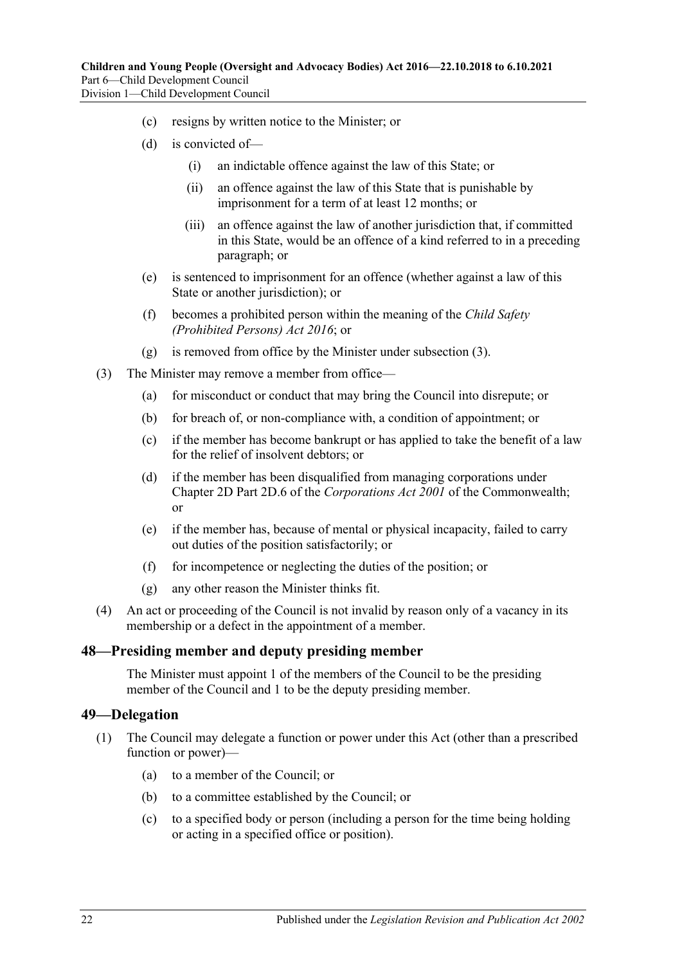- (c) resigns by written notice to the Minister; or
- (d) is convicted of—
	- (i) an indictable offence against the law of this State; or
	- (ii) an offence against the law of this State that is punishable by imprisonment for a term of at least 12 months; or
	- (iii) an offence against the law of another jurisdiction that, if committed in this State, would be an offence of a kind referred to in a preceding paragraph; or
- (e) is sentenced to imprisonment for an offence (whether against a law of this State or another jurisdiction); or
- (f) becomes a prohibited person within the meaning of the *[Child Safety](http://www.legislation.sa.gov.au/index.aspx?action=legref&type=act&legtitle=Child%20Safety%20(Prohibited%20Persons)%20Act%202016)  [\(Prohibited Persons\) Act](http://www.legislation.sa.gov.au/index.aspx?action=legref&type=act&legtitle=Child%20Safety%20(Prohibited%20Persons)%20Act%202016) 2016*; or
- (g) is removed from office by the Minister under [subsection](#page-21-2) (3).
- <span id="page-21-2"></span>(3) The Minister may remove a member from office—
	- (a) for misconduct or conduct that may bring the Council into disrepute; or
	- (b) for breach of, or non-compliance with, a condition of appointment; or
	- (c) if the member has become bankrupt or has applied to take the benefit of a law for the relief of insolvent debtors; or
	- (d) if the member has been disqualified from managing corporations under Chapter 2D Part 2D.6 of the *Corporations Act 2001* of the Commonwealth; or
	- (e) if the member has, because of mental or physical incapacity, failed to carry out duties of the position satisfactorily; or
	- (f) for incompetence or neglecting the duties of the position; or
	- (g) any other reason the Minister thinks fit.
- (4) An act or proceeding of the Council is not invalid by reason only of a vacancy in its membership or a defect in the appointment of a member.

#### <span id="page-21-0"></span>**48—Presiding member and deputy presiding member**

The Minister must appoint 1 of the members of the Council to be the presiding member of the Council and 1 to be the deputy presiding member.

#### <span id="page-21-1"></span>**49—Delegation**

- (1) The Council may delegate a function or power under this Act (other than a prescribed function or power)—
	- (a) to a member of the Council; or
	- (b) to a committee established by the Council; or
	- (c) to a specified body or person (including a person for the time being holding or acting in a specified office or position).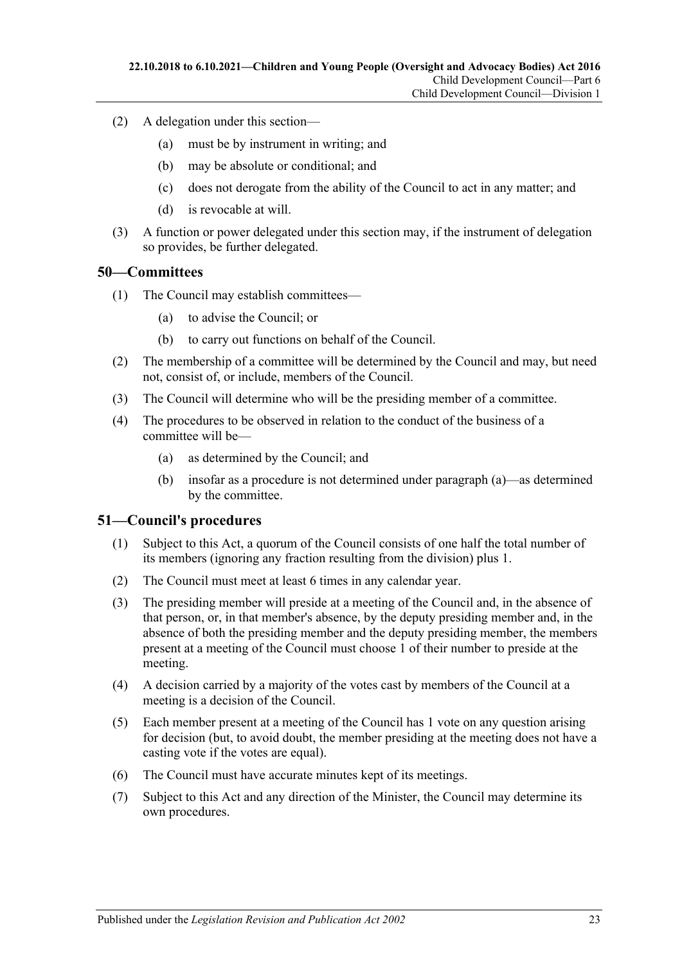- (2) A delegation under this section—
	- (a) must be by instrument in writing; and
	- (b) may be absolute or conditional; and
	- (c) does not derogate from the ability of the Council to act in any matter; and
	- (d) is revocable at will.
- (3) A function or power delegated under this section may, if the instrument of delegation so provides, be further delegated.

#### <span id="page-22-0"></span>**50—Committees**

- (1) The Council may establish committees—
	- (a) to advise the Council; or
	- (b) to carry out functions on behalf of the Council.
- (2) The membership of a committee will be determined by the Council and may, but need not, consist of, or include, members of the Council.
- (3) The Council will determine who will be the presiding member of a committee.
- <span id="page-22-2"></span>(4) The procedures to be observed in relation to the conduct of the business of a committee will be—
	- (a) as determined by the Council; and
	- (b) insofar as a procedure is not determined under [paragraph](#page-22-2) (a)—as determined by the committee.

#### <span id="page-22-1"></span>**51—Council's procedures**

- (1) Subject to this Act, a quorum of the Council consists of one half the total number of its members (ignoring any fraction resulting from the division) plus 1.
- (2) The Council must meet at least 6 times in any calendar year.
- (3) The presiding member will preside at a meeting of the Council and, in the absence of that person, or, in that member's absence, by the deputy presiding member and, in the absence of both the presiding member and the deputy presiding member, the members present at a meeting of the Council must choose 1 of their number to preside at the meeting.
- (4) A decision carried by a majority of the votes cast by members of the Council at a meeting is a decision of the Council.
- (5) Each member present at a meeting of the Council has 1 vote on any question arising for decision (but, to avoid doubt, the member presiding at the meeting does not have a casting vote if the votes are equal).
- (6) The Council must have accurate minutes kept of its meetings.
- (7) Subject to this Act and any direction of the Minister, the Council may determine its own procedures.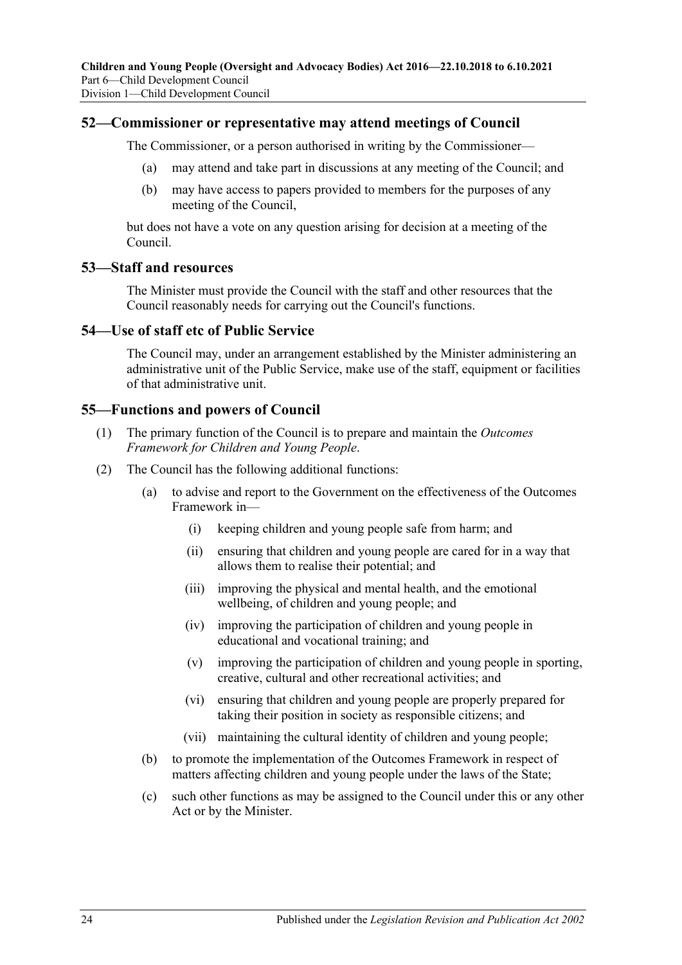#### <span id="page-23-0"></span>**52—Commissioner or representative may attend meetings of Council**

The Commissioner, or a person authorised in writing by the Commissioner—

- (a) may attend and take part in discussions at any meeting of the Council; and
- (b) may have access to papers provided to members for the purposes of any meeting of the Council,

but does not have a vote on any question arising for decision at a meeting of the Council.

#### <span id="page-23-1"></span>**53—Staff and resources**

The Minister must provide the Council with the staff and other resources that the Council reasonably needs for carrying out the Council's functions.

#### <span id="page-23-2"></span>**54—Use of staff etc of Public Service**

The Council may, under an arrangement established by the Minister administering an administrative unit of the Public Service, make use of the staff, equipment or facilities of that administrative unit.

#### <span id="page-23-3"></span>**55—Functions and powers of Council**

- (1) The primary function of the Council is to prepare and maintain the *Outcomes Framework for Children and Young People*.
- (2) The Council has the following additional functions:
	- (a) to advise and report to the Government on the effectiveness of the Outcomes Framework in—
		- (i) keeping children and young people safe from harm; and
		- (ii) ensuring that children and young people are cared for in a way that allows them to realise their potential; and
		- (iii) improving the physical and mental health, and the emotional wellbeing, of children and young people; and
		- (iv) improving the participation of children and young people in educational and vocational training; and
		- (v) improving the participation of children and young people in sporting, creative, cultural and other recreational activities; and
		- (vi) ensuring that children and young people are properly prepared for taking their position in society as responsible citizens; and
		- (vii) maintaining the cultural identity of children and young people;
	- (b) to promote the implementation of the Outcomes Framework in respect of matters affecting children and young people under the laws of the State;
	- (c) such other functions as may be assigned to the Council under this or any other Act or by the Minister.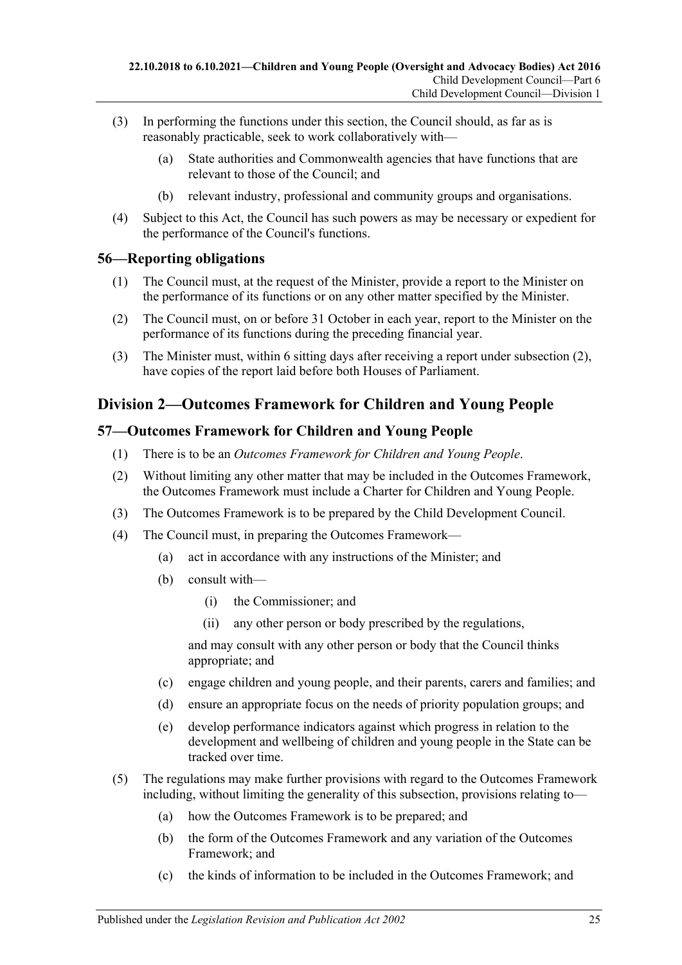- (3) In performing the functions under this section, the Council should, as far as is reasonably practicable, seek to work collaboratively with—
	- (a) State authorities and Commonwealth agencies that have functions that are relevant to those of the Council; and
	- (b) relevant industry, professional and community groups and organisations.
- (4) Subject to this Act, the Council has such powers as may be necessary or expedient for the performance of the Council's functions.

### <span id="page-24-0"></span>**56—Reporting obligations**

- (1) The Council must, at the request of the Minister, provide a report to the Minister on the performance of its functions or on any other matter specified by the Minister.
- <span id="page-24-3"></span>(2) The Council must, on or before 31 October in each year, report to the Minister on the performance of its functions during the preceding financial year.
- (3) The Minister must, within 6 sitting days after receiving a report under [subsection](#page-24-3) (2), have copies of the report laid before both Houses of Parliament.

## <span id="page-24-1"></span>**Division 2—Outcomes Framework for Children and Young People**

### <span id="page-24-2"></span>**57—Outcomes Framework for Children and Young People**

- (1) There is to be an *Outcomes Framework for Children and Young People*.
- (2) Without limiting any other matter that may be included in the Outcomes Framework, the Outcomes Framework must include a Charter for Children and Young People.
- (3) The Outcomes Framework is to be prepared by the Child Development Council.
- (4) The Council must, in preparing the Outcomes Framework—
	- (a) act in accordance with any instructions of the Minister; and
	- (b) consult with—
		- (i) the Commissioner; and
		- (ii) any other person or body prescribed by the regulations,

and may consult with any other person or body that the Council thinks appropriate; and

- (c) engage children and young people, and their parents, carers and families; and
- (d) ensure an appropriate focus on the needs of priority population groups; and
- (e) develop performance indicators against which progress in relation to the development and wellbeing of children and young people in the State can be tracked over time.
- (5) The regulations may make further provisions with regard to the Outcomes Framework including, without limiting the generality of this subsection, provisions relating to—
	- (a) how the Outcomes Framework is to be prepared; and
	- (b) the form of the Outcomes Framework and any variation of the Outcomes Framework; and
	- (c) the kinds of information to be included in the Outcomes Framework; and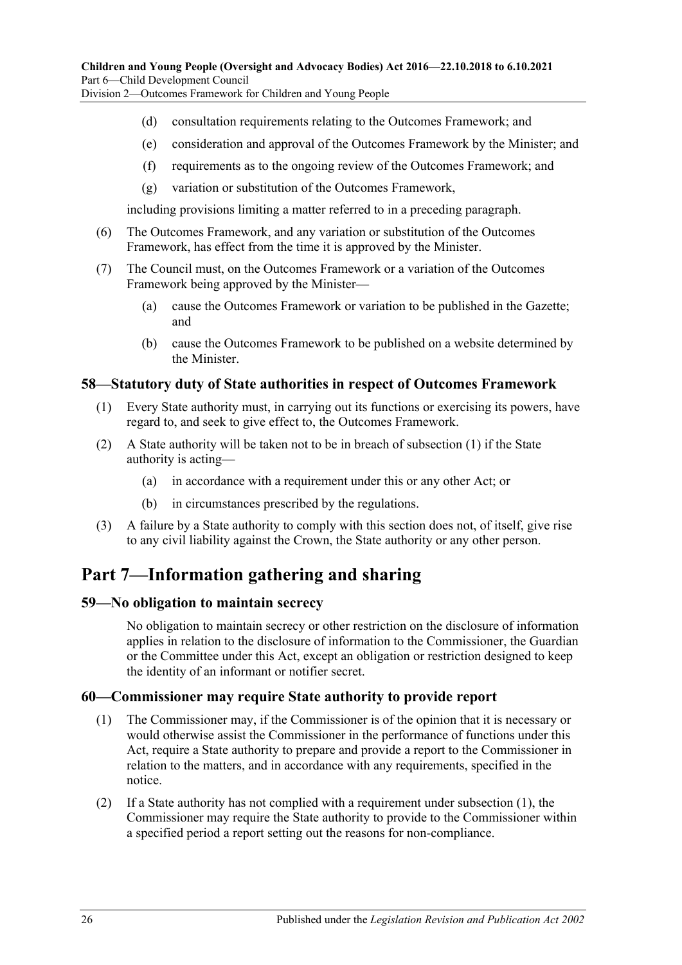Division 2—Outcomes Framework for Children and Young People

- (d) consultation requirements relating to the Outcomes Framework; and
- (e) consideration and approval of the Outcomes Framework by the Minister; and
- (f) requirements as to the ongoing review of the Outcomes Framework; and
- (g) variation or substitution of the Outcomes Framework,

including provisions limiting a matter referred to in a preceding paragraph.

- (6) The Outcomes Framework, and any variation or substitution of the Outcomes Framework, has effect from the time it is approved by the Minister.
- (7) The Council must, on the Outcomes Framework or a variation of the Outcomes Framework being approved by the Minister—
	- (a) cause the Outcomes Framework or variation to be published in the Gazette; and
	- (b) cause the Outcomes Framework to be published on a website determined by the Minister.

#### <span id="page-25-4"></span><span id="page-25-0"></span>**58—Statutory duty of State authorities in respect of Outcomes Framework**

- (1) Every State authority must, in carrying out its functions or exercising its powers, have regard to, and seek to give effect to, the Outcomes Framework.
- (2) A State authority will be taken not to be in breach of [subsection](#page-25-4) (1) if the State authority is acting—
	- (a) in accordance with a requirement under this or any other Act; or
	- (b) in circumstances prescribed by the regulations.
- (3) A failure by a State authority to comply with this section does not, of itself, give rise to any civil liability against the Crown, the State authority or any other person.

## <span id="page-25-1"></span>**Part 7—Information gathering and sharing**

#### <span id="page-25-2"></span>**59—No obligation to maintain secrecy**

No obligation to maintain secrecy or other restriction on the disclosure of information applies in relation to the disclosure of information to the Commissioner, the Guardian or the Committee under this Act, except an obligation or restriction designed to keep the identity of an informant or notifier secret.

#### <span id="page-25-5"></span><span id="page-25-3"></span>**60—Commissioner may require State authority to provide report**

- (1) The Commissioner may, if the Commissioner is of the opinion that it is necessary or would otherwise assist the Commissioner in the performance of functions under this Act, require a State authority to prepare and provide a report to the Commissioner in relation to the matters, and in accordance with any requirements, specified in the notice.
- <span id="page-25-6"></span>(2) If a State authority has not complied with a requirement under [subsection](#page-25-5) (1), the Commissioner may require the State authority to provide to the Commissioner within a specified period a report setting out the reasons for non-compliance.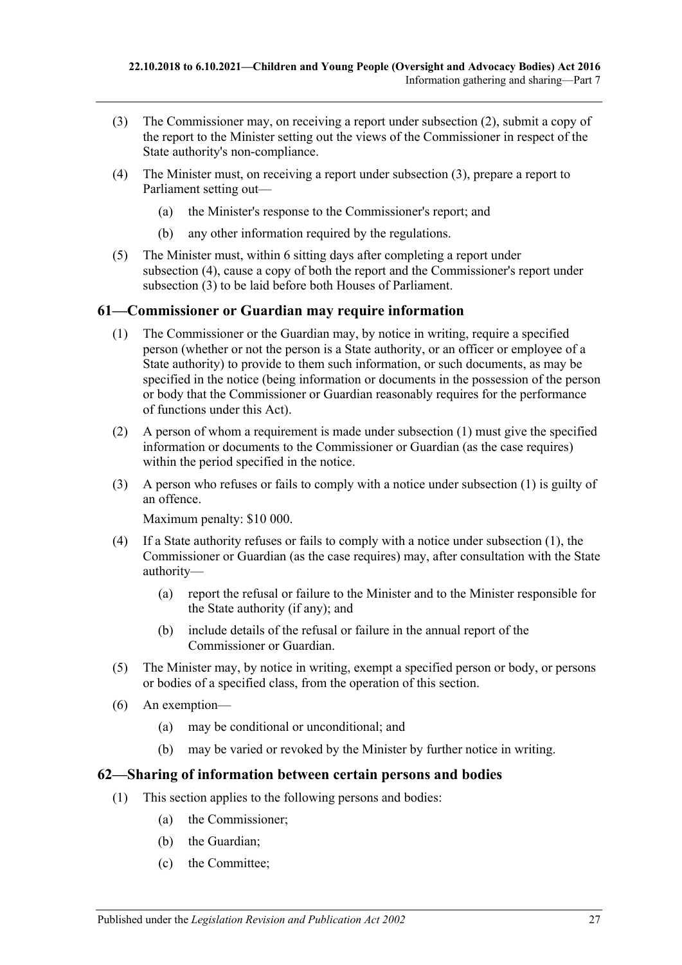- <span id="page-26-2"></span>(3) The Commissioner may, on receiving a report under [subsection](#page-25-6) (2), submit a copy of the report to the Minister setting out the views of the Commissioner in respect of the State authority's non-compliance.
- <span id="page-26-3"></span>(4) The Minister must, on receiving a report under [subsection](#page-26-2) (3), prepare a report to Parliament setting out—
	- (a) the Minister's response to the Commissioner's report; and
	- (b) any other information required by the regulations.
- (5) The Minister must, within 6 sitting days after completing a report under [subsection](#page-26-3) (4), cause a copy of both the report and the Commissioner's report under [subsection](#page-26-2) (3) to be laid before both Houses of Parliament.

### <span id="page-26-4"></span><span id="page-26-0"></span>**61—Commissioner or Guardian may require information**

- (1) The Commissioner or the Guardian may, by notice in writing, require a specified person (whether or not the person is a State authority, or an officer or employee of a State authority) to provide to them such information, or such documents, as may be specified in the notice (being information or documents in the possession of the person or body that the Commissioner or Guardian reasonably requires for the performance of functions under this Act).
- (2) A person of whom a requirement is made under [subsection](#page-26-4) (1) must give the specified information or documents to the Commissioner or Guardian (as the case requires) within the period specified in the notice.
- (3) A person who refuses or fails to comply with a notice under [subsection](#page-26-4) (1) is guilty of an offence.

Maximum penalty: \$10 000.

- (4) If a State authority refuses or fails to comply with a notice under [subsection](#page-26-4) (1), the Commissioner or Guardian (as the case requires) may, after consultation with the State authority—
	- (a) report the refusal or failure to the Minister and to the Minister responsible for the State authority (if any); and
	- (b) include details of the refusal or failure in the annual report of the Commissioner or Guardian.
- (5) The Minister may, by notice in writing, exempt a specified person or body, or persons or bodies of a specified class, from the operation of this section.
- (6) An exemption—
	- (a) may be conditional or unconditional; and
	- (b) may be varied or revoked by the Minister by further notice in writing.

#### <span id="page-26-1"></span>**62—Sharing of information between certain persons and bodies**

- (1) This section applies to the following persons and bodies:
	- (a) the Commissioner;
	- (b) the Guardian;
	- (c) the Committee;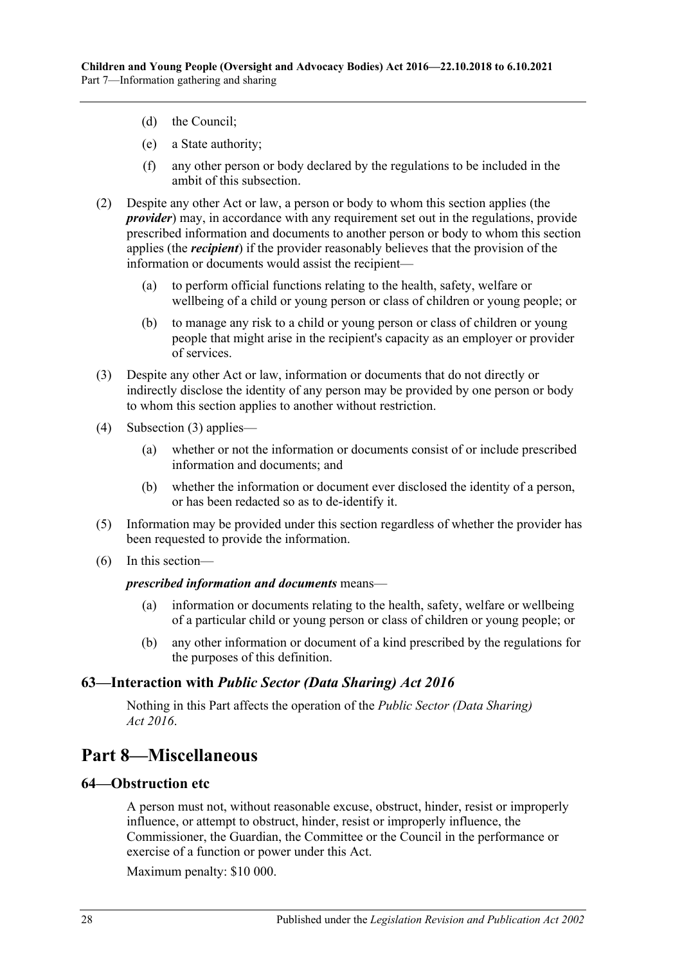- (d) the Council;
- (e) a State authority;
- (f) any other person or body declared by the regulations to be included in the ambit of this subsection.
- (2) Despite any other Act or law, a person or body to whom this section applies (the *provider*) may, in accordance with any requirement set out in the regulations, provide prescribed information and documents to another person or body to whom this section applies (the *recipient*) if the provider reasonably believes that the provision of the information or documents would assist the recipient—
	- (a) to perform official functions relating to the health, safety, welfare or wellbeing of a child or young person or class of children or young people; or
	- (b) to manage any risk to a child or young person or class of children or young people that might arise in the recipient's capacity as an employer or provider of services.
- <span id="page-27-3"></span>(3) Despite any other Act or law, information or documents that do not directly or indirectly disclose the identity of any person may be provided by one person or body to whom this section applies to another without restriction.
- (4) [Subsection](#page-27-3) (3) applies—
	- (a) whether or not the information or documents consist of or include prescribed information and documents; and
	- (b) whether the information or document ever disclosed the identity of a person, or has been redacted so as to de-identify it.
- (5) Information may be provided under this section regardless of whether the provider has been requested to provide the information.
- (6) In this section—

#### *prescribed information and documents* means—

- (a) information or documents relating to the health, safety, welfare or wellbeing of a particular child or young person or class of children or young people; or
- (b) any other information or document of a kind prescribed by the regulations for the purposes of this definition.

#### <span id="page-27-0"></span>**63—Interaction with** *Public Sector (Data Sharing) Act 2016*

Nothing in this Part affects the operation of the *[Public Sector \(Data Sharing\)](http://www.legislation.sa.gov.au/index.aspx?action=legref&type=act&legtitle=Public%20Sector%20(Data%20Sharing)%20Act%202016)  Act [2016](http://www.legislation.sa.gov.au/index.aspx?action=legref&type=act&legtitle=Public%20Sector%20(Data%20Sharing)%20Act%202016)*.

## <span id="page-27-1"></span>**Part 8—Miscellaneous**

#### <span id="page-27-2"></span>**64—Obstruction etc**

A person must not, without reasonable excuse, obstruct, hinder, resist or improperly influence, or attempt to obstruct, hinder, resist or improperly influence, the Commissioner, the Guardian, the Committee or the Council in the performance or exercise of a function or power under this Act.

Maximum penalty: \$10 000.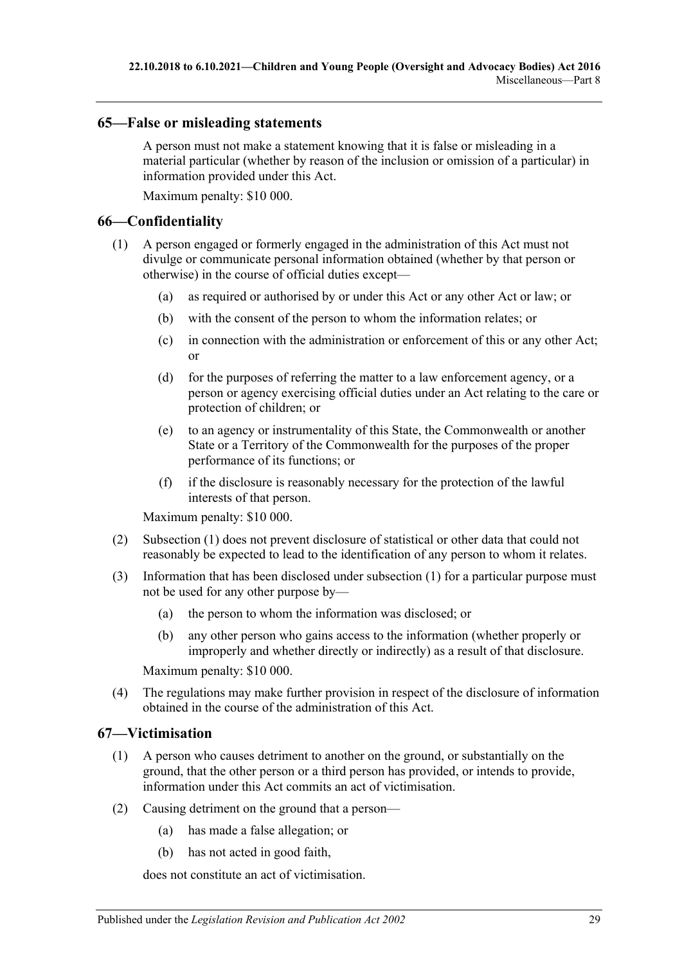#### <span id="page-28-0"></span>**65—False or misleading statements**

A person must not make a statement knowing that it is false or misleading in a material particular (whether by reason of the inclusion or omission of a particular) in information provided under this Act.

Maximum penalty: \$10 000.

#### <span id="page-28-3"></span><span id="page-28-1"></span>**66—Confidentiality**

- (1) A person engaged or formerly engaged in the administration of this Act must not divulge or communicate personal information obtained (whether by that person or otherwise) in the course of official duties except—
	- (a) as required or authorised by or under this Act or any other Act or law; or
	- (b) with the consent of the person to whom the information relates; or
	- (c) in connection with the administration or enforcement of this or any other Act; or
	- (d) for the purposes of referring the matter to a law enforcement agency, or a person or agency exercising official duties under an Act relating to the care or protection of children; or
	- (e) to an agency or instrumentality of this State, the Commonwealth or another State or a Territory of the Commonwealth for the purposes of the proper performance of its functions; or
	- (f) if the disclosure is reasonably necessary for the protection of the lawful interests of that person.

Maximum penalty: \$10 000.

- (2) [Subsection](#page-28-3) (1) does not prevent disclosure of statistical or other data that could not reasonably be expected to lead to the identification of any person to whom it relates.
- (3) Information that has been disclosed under [subsection](#page-28-3) (1) for a particular purpose must not be used for any other purpose by—
	- (a) the person to whom the information was disclosed; or
	- (b) any other person who gains access to the information (whether properly or improperly and whether directly or indirectly) as a result of that disclosure.

Maximum penalty: \$10 000.

(4) The regulations may make further provision in respect of the disclosure of information obtained in the course of the administration of this Act.

#### <span id="page-28-2"></span>**67—Victimisation**

- (1) A person who causes detriment to another on the ground, or substantially on the ground, that the other person or a third person has provided, or intends to provide, information under this Act commits an act of victimisation.
- (2) Causing detriment on the ground that a person—
	- (a) has made a false allegation; or
	- (b) has not acted in good faith,

does not constitute an act of victimisation.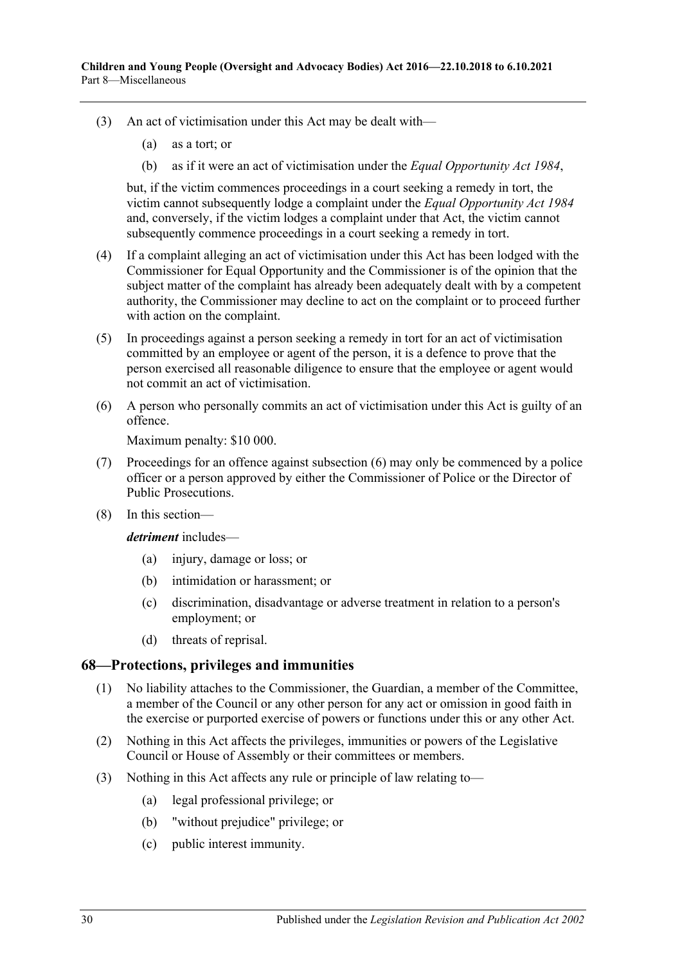- (3) An act of victimisation under this Act may be dealt with—
	- (a) as a tort; or
	- (b) as if it were an act of victimisation under the *[Equal Opportunity Act](http://www.legislation.sa.gov.au/index.aspx?action=legref&type=act&legtitle=Equal%20Opportunity%20Act%201984) 1984*,

but, if the victim commences proceedings in a court seeking a remedy in tort, the victim cannot subsequently lodge a complaint under the *[Equal Opportunity Act](http://www.legislation.sa.gov.au/index.aspx?action=legref&type=act&legtitle=Equal%20Opportunity%20Act%201984) 1984* and, conversely, if the victim lodges a complaint under that Act, the victim cannot subsequently commence proceedings in a court seeking a remedy in tort.

- (4) If a complaint alleging an act of victimisation under this Act has been lodged with the Commissioner for Equal Opportunity and the Commissioner is of the opinion that the subject matter of the complaint has already been adequately dealt with by a competent authority, the Commissioner may decline to act on the complaint or to proceed further with action on the complaint.
- (5) In proceedings against a person seeking a remedy in tort for an act of victimisation committed by an employee or agent of the person, it is a defence to prove that the person exercised all reasonable diligence to ensure that the employee or agent would not commit an act of victimisation.
- <span id="page-29-1"></span>(6) A person who personally commits an act of victimisation under this Act is guilty of an offence.

Maximum penalty: \$10 000.

- (7) Proceedings for an offence against [subsection](#page-29-1) (6) may only be commenced by a police officer or a person approved by either the Commissioner of Police or the Director of Public Prosecutions.
- (8) In this section—

*detriment* includes—

- (a) injury, damage or loss; or
- (b) intimidation or harassment; or
- (c) discrimination, disadvantage or adverse treatment in relation to a person's employment; or
- (d) threats of reprisal.

#### <span id="page-29-0"></span>**68—Protections, privileges and immunities**

- (1) No liability attaches to the Commissioner, the Guardian, a member of the Committee, a member of the Council or any other person for any act or omission in good faith in the exercise or purported exercise of powers or functions under this or any other Act.
- (2) Nothing in this Act affects the privileges, immunities or powers of the Legislative Council or House of Assembly or their committees or members.
- (3) Nothing in this Act affects any rule or principle of law relating to—
	- (a) legal professional privilege; or
	- (b) "without prejudice" privilege; or
	- (c) public interest immunity.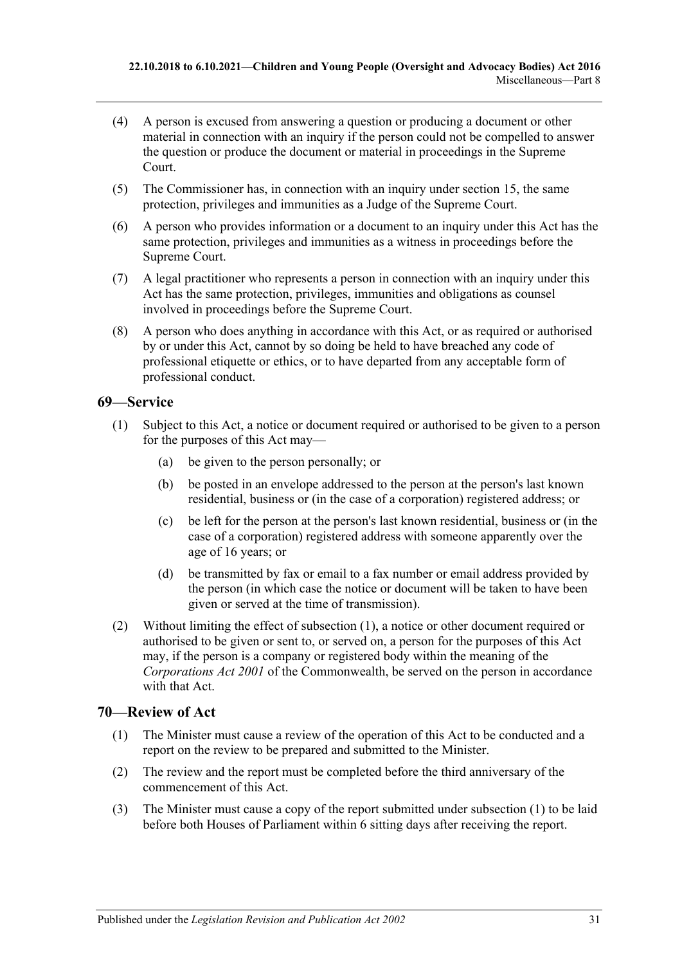- (4) A person is excused from answering a question or producing a document or other material in connection with an inquiry if the person could not be compelled to answer the question or produce the document or material in proceedings in the Supreme Court.
- (5) The Commissioner has, in connection with an inquiry under [section](#page-7-3) 15, the same protection, privileges and immunities as a Judge of the Supreme Court.
- (6) A person who provides information or a document to an inquiry under this Act has the same protection, privileges and immunities as a witness in proceedings before the Supreme Court.
- (7) A legal practitioner who represents a person in connection with an inquiry under this Act has the same protection, privileges, immunities and obligations as counsel involved in proceedings before the Supreme Court.
- (8) A person who does anything in accordance with this Act, or as required or authorised by or under this Act, cannot by so doing be held to have breached any code of professional etiquette or ethics, or to have departed from any acceptable form of professional conduct.

### <span id="page-30-2"></span><span id="page-30-0"></span>**69—Service**

- (1) Subject to this Act, a notice or document required or authorised to be given to a person for the purposes of this Act may—
	- (a) be given to the person personally; or
	- (b) be posted in an envelope addressed to the person at the person's last known residential, business or (in the case of a corporation) registered address; or
	- (c) be left for the person at the person's last known residential, business or (in the case of a corporation) registered address with someone apparently over the age of 16 years; or
	- (d) be transmitted by fax or email to a fax number or email address provided by the person (in which case the notice or document will be taken to have been given or served at the time of transmission).
- (2) Without limiting the effect of [subsection](#page-30-2) (1), a notice or other document required or authorised to be given or sent to, or served on, a person for the purposes of this Act may, if the person is a company or registered body within the meaning of the *Corporations Act 2001* of the Commonwealth, be served on the person in accordance with that Act.

#### <span id="page-30-3"></span><span id="page-30-1"></span>**70—Review of Act**

- (1) The Minister must cause a review of the operation of this Act to be conducted and a report on the review to be prepared and submitted to the Minister.
- (2) The review and the report must be completed before the third anniversary of the commencement of this Act.
- (3) The Minister must cause a copy of the report submitted under [subsection](#page-30-3) (1) to be laid before both Houses of Parliament within 6 sitting days after receiving the report.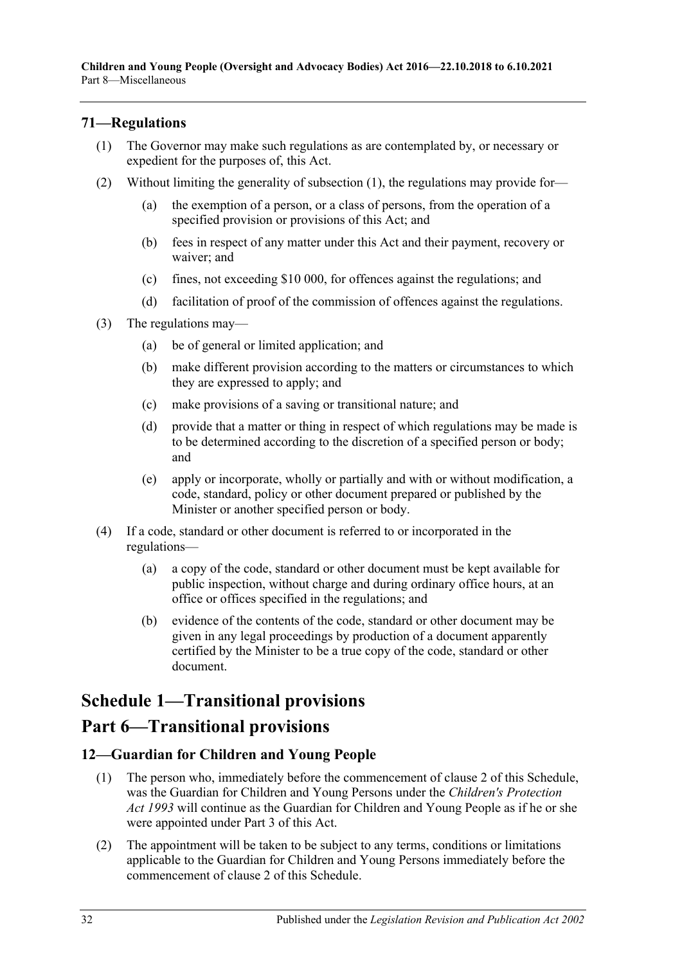### <span id="page-31-3"></span><span id="page-31-0"></span>**71—Regulations**

- (1) The Governor may make such regulations as are contemplated by, or necessary or expedient for the purposes of, this Act.
- (2) Without limiting the generality of [subsection](#page-31-3) (1), the regulations may provide for—
	- (a) the exemption of a person, or a class of persons, from the operation of a specified provision or provisions of this Act; and
	- (b) fees in respect of any matter under this Act and their payment, recovery or waiver; and
	- (c) fines, not exceeding \$10 000, for offences against the regulations; and
	- (d) facilitation of proof of the commission of offences against the regulations.
- (3) The regulations may—
	- (a) be of general or limited application; and
	- (b) make different provision according to the matters or circumstances to which they are expressed to apply; and
	- (c) make provisions of a saving or transitional nature; and
	- (d) provide that a matter or thing in respect of which regulations may be made is to be determined according to the discretion of a specified person or body; and
	- (e) apply or incorporate, wholly or partially and with or without modification, a code, standard, policy or other document prepared or published by the Minister or another specified person or body.
- (4) If a code, standard or other document is referred to or incorporated in the regulations—
	- (a) a copy of the code, standard or other document must be kept available for public inspection, without charge and during ordinary office hours, at an office or offices specified in the regulations; and
	- (b) evidence of the contents of the code, standard or other document may be given in any legal proceedings by production of a document apparently certified by the Minister to be a true copy of the code, standard or other document.

# <span id="page-31-1"></span>**Schedule 1—Transitional provisions**

## **Part 6—Transitional provisions**

#### <span id="page-31-2"></span>**12—Guardian for Children and Young People**

- (1) The person who, immediately before the commencement of clause 2 of this Schedule, was the Guardian for Children and Young Persons under the *[Children's Protection](http://www.legislation.sa.gov.au/index.aspx?action=legref&type=act&legtitle=Childrens%20Protection%20Act%201993)  Act [1993](http://www.legislation.sa.gov.au/index.aspx?action=legref&type=act&legtitle=Childrens%20Protection%20Act%201993)* will continue as the Guardian for Children and Young People as if he or she were appointed under [Part](#page-10-4) 3 of this Act.
- (2) The appointment will be taken to be subject to any terms, conditions or limitations applicable to the Guardian for Children and Young Persons immediately before the commencement of clause 2 of this Schedule.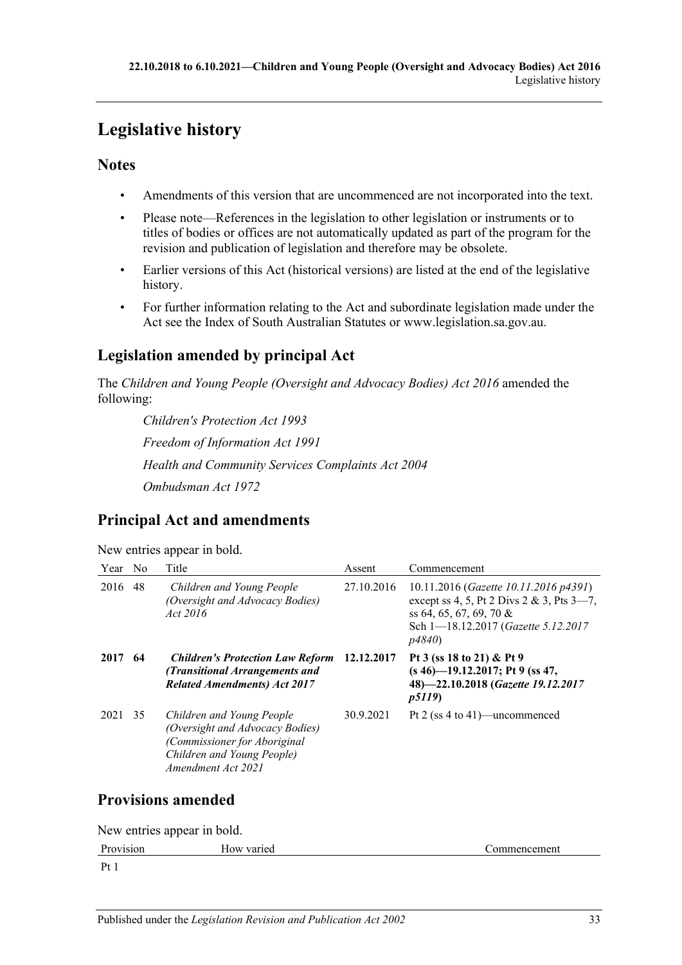# <span id="page-32-0"></span>**Legislative history**

## **Notes**

- Amendments of this version that are uncommenced are not incorporated into the text.
- Please note—References in the legislation to other legislation or instruments or to titles of bodies or offices are not automatically updated as part of the program for the revision and publication of legislation and therefore may be obsolete.
- Earlier versions of this Act (historical versions) are listed at the end of the legislative history.
- For further information relating to the Act and subordinate legislation made under the Act see the Index of South Australian Statutes or www.legislation.sa.gov.au.

## **Legislation amended by principal Act**

The *Children and Young People (Oversight and Advocacy Bodies) Act 2016* amended the following:

*Children's Protection Act 1993 Freedom of Information Act 1991 Health and Community Services Complaints Act 2004 Ombudsman Act 1972*

## **Principal Act and amendments**

New entries appear in bold.

| Year                      | N <sub>o</sub> | Title                                                                                                                                            | Assent     | Commencement                                                                                                                                                                 |  |  |  |
|---------------------------|----------------|--------------------------------------------------------------------------------------------------------------------------------------------------|------------|------------------------------------------------------------------------------------------------------------------------------------------------------------------------------|--|--|--|
| 2016                      | 48             | Children and Young People<br>(Oversight and Advocacy Bodies)<br>Act 2016                                                                         | 27.10.2016 | 10.11.2016 ( <i>Gazette 10.11.2016 p4391</i> )<br>except ss 4, 5, Pt 2 Divs 2 & 3, Pts $3-7$ ,<br>ss 64, 65, 67, 69, 70 $\&$<br>Sch 1-18.12.2017 (Gazette 5.12.2017<br>p4840 |  |  |  |
| 2017                      | 64             | <b>Children's Protection Law Reform</b><br>(Transitional Arrangements and<br><b>Related Amendments) Act 2017</b>                                 | 12.12.2017 | Pt 3 (ss 18 to 21) & Pt 9<br>$(s 46)$ —19.12.2017; Pt 9 (ss 47,<br>48)-22.10.2018 (Gazette 19.12.2017<br><i>p5119</i> )                                                      |  |  |  |
| 2021                      | 35             | Children and Young People<br>(Oversight and Advocacy Bodies)<br>(Commissioner for Aboriginal<br>Children and Young People)<br>Amendment Act 2021 | 30.9.2021  | Pt 2 (ss 4 to 41)—uncommenced                                                                                                                                                |  |  |  |
| <b>Provisions amended</b> |                |                                                                                                                                                  |            |                                                                                                                                                                              |  |  |  |

New entries appear in bold.

| D<br>$\mathbf{v}$<br>24.04.04 | VAL.<br>10W<br>lcu | . …<br>'ncer<br>тнен<br>.<br>. |
|-------------------------------|--------------------|--------------------------------|
| $\mathbf{D}$                  |                    |                                |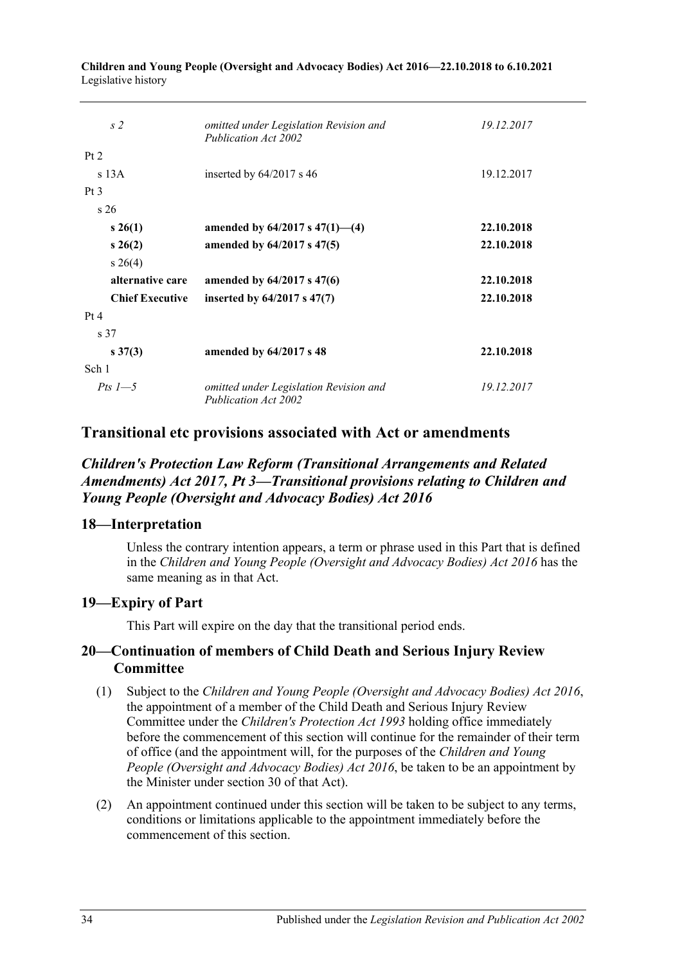| s <sub>2</sub>         | omitted under Legislation Revision and<br>Publication Act 2002 | 19.12.2017 |
|------------------------|----------------------------------------------------------------|------------|
| Pt 2                   |                                                                |            |
| $s$ 13A                | inserted by $64/2017$ s 46                                     | 19.12.2017 |
| Pt <sub>3</sub>        |                                                                |            |
| s <sub>26</sub>        |                                                                |            |
| $s \; 26(1)$           | amended by $64/2017$ s $47(1)$ — $(4)$                         | 22.10.2018 |
| $s \; 26(2)$           | amended by 64/2017 s 47(5)                                     | 22.10.2018 |
| $s \; 26(4)$           |                                                                |            |
| alternative care       | amended by 64/2017 s 47(6)                                     | 22.10.2018 |
| <b>Chief Executive</b> | inserted by $64/2017$ s $47(7)$                                | 22.10.2018 |
| Pt 4                   |                                                                |            |
| s 37                   |                                                                |            |
| $s \, 37(3)$           | amended by 64/2017 s 48                                        | 22.10.2018 |
| Sch 1                  |                                                                |            |
| Pts $1-5$              | omitted under Legislation Revision and<br>Publication Act 2002 | 19.12.2017 |

**Children and Young People (Oversight and Advocacy Bodies) Act 2016—22.10.2018 to 6.10.2021** Legislative history

## **Transitional etc provisions associated with Act or amendments**

## *Children's Protection Law Reform (Transitional Arrangements and Related Amendments) Act 2017, Pt 3—Transitional provisions relating to Children and Young People (Oversight and Advocacy Bodies) Act 2016*

#### **18—Interpretation**

Unless the contrary intention appears, a term or phrase used in this Part that is defined in the *[Children and Young People \(Oversight and Advocacy Bodies\) Act](http://www.legislation.sa.gov.au/index.aspx?action=legref&type=act&legtitle=Children%20and%20Young%20People%20(Oversight%20and%20Advocacy%20Bodies)%20Act%202016) 2016* has the same meaning as in that Act.

#### **19—Expiry of Part**

This Part will expire on the day that the transitional period ends.

### **20—Continuation of members of Child Death and Serious Injury Review Committee**

- (1) Subject to the *[Children and Young People \(Oversight and Advocacy Bodies\) Act](http://www.legislation.sa.gov.au/index.aspx?action=legref&type=act&legtitle=Children%20and%20Young%20People%20(Oversight%20and%20Advocacy%20Bodies)%20Act%202016) 2016*, the appointment of a member of the Child Death and Serious Injury Review Committee under the *[Children's Protection Act](http://www.legislation.sa.gov.au/index.aspx?action=legref&type=act&legtitle=Childrens%20Protection%20Act%201993) 1993* holding office immediately before the commencement of this section will continue for the remainder of their term of office (and the appointment will, for the purposes of the *[Children and Young](http://www.legislation.sa.gov.au/index.aspx?action=legref&type=act&legtitle=Children%20and%20Young%20People%20(Oversight%20and%20Advocacy%20Bodies)%20Act%202016)  [People \(Oversight and Advocacy Bodies\) Act](http://www.legislation.sa.gov.au/index.aspx?action=legref&type=act&legtitle=Children%20and%20Young%20People%20(Oversight%20and%20Advocacy%20Bodies)%20Act%202016) 2016*, be taken to be an appointment by the Minister under section 30 of that Act).
- (2) An appointment continued under this section will be taken to be subject to any terms, conditions or limitations applicable to the appointment immediately before the commencement of this section.